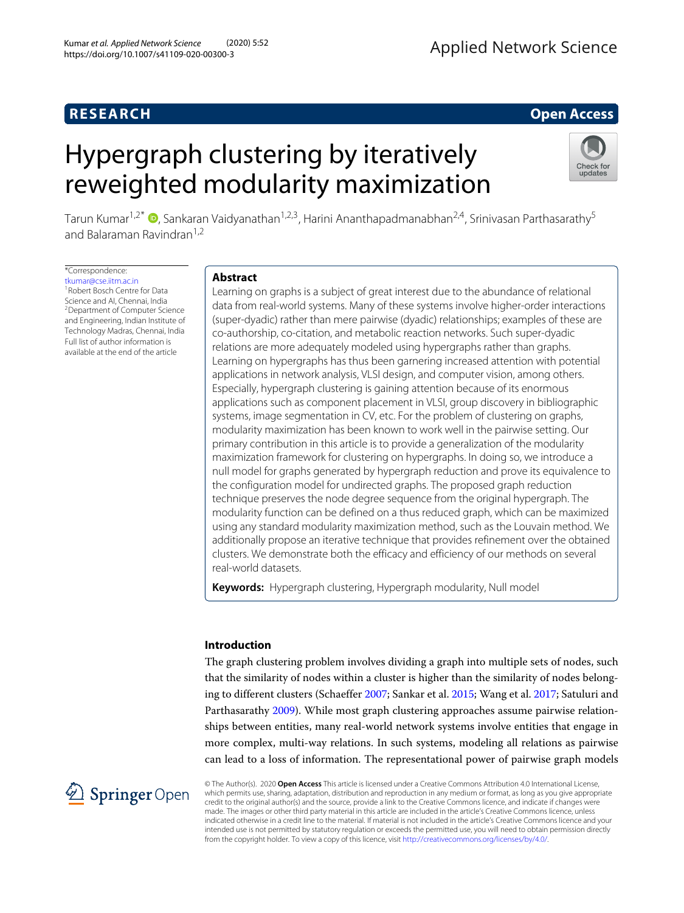# **RESEARCH Open Access**

# Hypergraph clustering by iteratively reweighted modularity maximization



Tarun Kumar<sup>1[,](http://orcid.org/0000-0001-6265-629X)2\*</sup> <sup>(D</sup>, Sankaran Vaidyanathan<sup>1,2,3</sup>, Harini Ananthapadmanabhan<sup>2,4</sup>, Srinivasan Parthasarathy<sup>5</sup> and Balaraman Ravindran<sup>1,2</sup>

\*Correspondence: [tkumar@cse.iitm.ac.in](mailto: tkumar@cse.iitm.ac.in) <sup>1</sup>Robert Bosch Centre for Data Science and AI, Chennai, India <sup>2</sup>Department of Computer Science and Engineering, Indian Institute of Technology Madras, Chennai, India Full list of author information is available at the end of the article

# **Abstract**

Learning on graphs is a subject of great interest due to the abundance of relational data from real-world systems. Many of these systems involve higher-order interactions (super-dyadic) rather than mere pairwise (dyadic) relationships; examples of these are co-authorship, co-citation, and metabolic reaction networks. Such super-dyadic relations are more adequately modeled using hypergraphs rather than graphs. Learning on hypergraphs has thus been garnering increased attention with potential applications in network analysis, VLSI design, and computer vision, among others. Especially, hypergraph clustering is gaining attention because of its enormous applications such as component placement in VLSI, group discovery in bibliographic systems, image segmentation in CV, etc. For the problem of clustering on graphs, modularity maximization has been known to work well in the pairwise setting. Our primary contribution in this article is to provide a generalization of the modularity maximization framework for clustering on hypergraphs. In doing so, we introduce a null model for graphs generated by hypergraph reduction and prove its equivalence to the configuration model for undirected graphs. The proposed graph reduction technique preserves the node degree sequence from the original hypergraph. The modularity function can be defined on a thus reduced graph, which can be maximized using any standard modularity maximization method, such as the Louvain method. We additionally propose an iterative technique that provides refinement over the obtained clusters. We demonstrate both the efficacy and efficiency of our methods on several real-world datasets.

**Keywords:** Hypergraph clustering, Hypergraph modularity, Null model

# **Introduction**

The graph clustering problem involves dividing a graph into multiple sets of nodes, such that the similarity of nodes within a cluster is higher than the similarity of nodes belonging to different clusters (Schaeffer [2007;](#page-21-0) Sankar et al. [2015;](#page-20-0) Wang et al. [2017;](#page-21-1) Satuluri and Parthasarathy [2009\)](#page-21-2). While most graph clustering approaches assume pairwise relationships between entities, many real-world network systems involve entities that engage in more complex, multi-way relations. In such systems, modeling all relations as pairwise can lead to a loss of information. The representational power of pairwise graph models



© The Author(s). 2020 **Open Access** This article is licensed under a Creative Commons Attribution 4.0 International License, which permits use, sharing, adaptation, distribution and reproduction in any medium or format, as long as you give appropriate credit to the original author(s) and the source, provide a link to the Creative Commons licence, and indicate if changes were made. The images or other third party material in this article are included in the article's Creative Commons licence, unless indicated otherwise in a credit line to the material. If material is not included in the article's Creative Commons licence and your intended use is not permitted by statutory regulation or exceeds the permitted use, you will need to obtain permission directly from the copyright holder. To view a copy of this licence, visit [http://creativecommons.org/licenses/by/4.0/.](http://creativecommons.org/licenses/by/4.0/)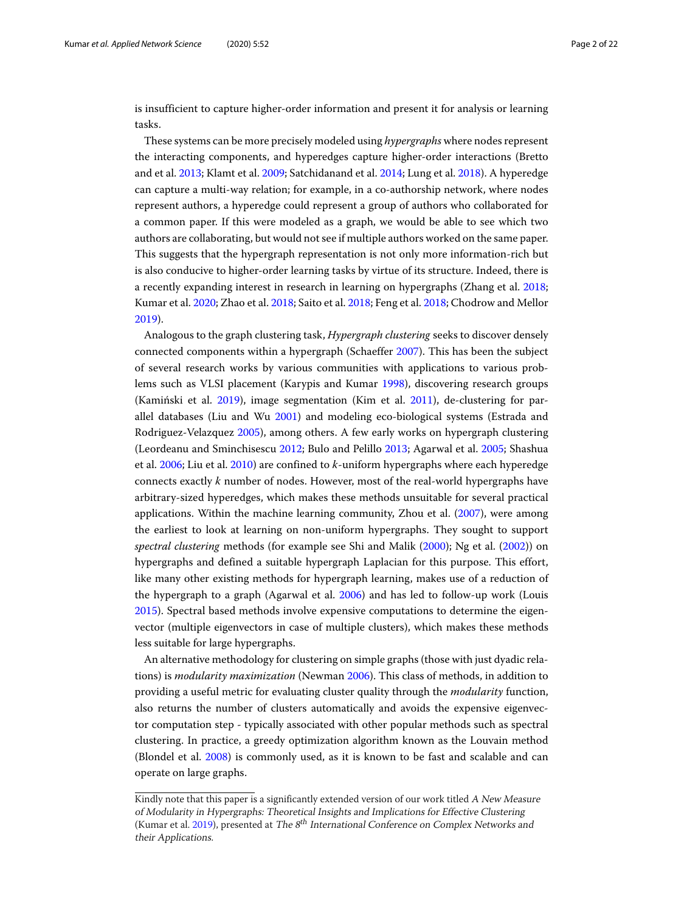is insufficient to capture higher-order information and present it for analysis or learning tasks.

These systems can be more precisely modeled using *hypergraphs* where nodes represent the interacting components, and hyperedges capture higher-order interactions (Bretto and et al. [2013;](#page-20-1) Klamt et al. [2009;](#page-20-2) Satchidanand et al. [2014;](#page-21-3) Lung et al. [2018\)](#page-20-3). A hyperedge can capture a multi-way relation; for example, in a co-authorship network, where nodes represent authors, a hyperedge could represent a group of authors who collaborated for a common paper. If this were modeled as a graph, we would be able to see which two authors are collaborating, but would not see if multiple authors worked on the same paper. This suggests that the hypergraph representation is not only more information-rich but is also conducive to higher-order learning tasks by virtue of its structure. Indeed, there is a recently expanding interest in research in learning on hypergraphs (Zhang et al. [2018;](#page-21-4) Kumar et al. [2020;](#page-20-4) Zhao et al. [2018;](#page-21-5) Saito et al. [2018;](#page-20-5) Feng et al. [2018;](#page-20-6) Chodrow and Mellor [2019\)](#page-20-7).

Analogous to the graph clustering task, *Hypergraph clustering* seeks to discover densely connected components within a hypergraph (Schaeffer [2007\)](#page-21-0). This has been the subject of several research works by various communities with applications to various problems such as VLSI placement (Karypis and Kumar [1998\)](#page-20-8), discovering research groups (Kamiński et al.  $2019$ ), image segmentation (Kim et al.  $2011$ ), de-clustering for parallel databases (Liu and Wu [2001\)](#page-20-11) and modeling eco-biological systems (Estrada and Rodriguez-Velazquez [2005\)](#page-20-12), among others. A few early works on hypergraph clustering (Leordeanu and Sminchisescu [2012;](#page-20-13) Bulo and Pelillo [2013;](#page-20-14) Agarwal et al. [2005;](#page-20-15) Shashua et al. [2006;](#page-21-6) Liu et al. [2010\)](#page-20-16) are confined to *k*-uniform hypergraphs where each hyperedge connects exactly *k* number of nodes. However, most of the real-world hypergraphs have arbitrary-sized hyperedges, which makes these methods unsuitable for several practical applications. Within the machine learning community, Zhou et al. [\(2007\)](#page-21-7), were among the earliest to look at learning on non-uniform hypergraphs. They sought to support *spectral clustering* methods (for example see Shi and Malik [\(2000\)](#page-21-8); Ng et al. [\(2002\)](#page-20-17)) on hypergraphs and defined a suitable hypergraph Laplacian for this purpose. This effort, like many other existing methods for hypergraph learning, makes use of a reduction of the hypergraph to a graph (Agarwal et al. [2006\)](#page-19-0) and has led to follow-up work (Louis [2015\)](#page-20-18). Spectral based methods involve expensive computations to determine the eigenvector (multiple eigenvectors in case of multiple clusters), which makes these methods less suitable for large hypergraphs.

An alternative methodology for clustering on simple graphs (those with just dyadic relations) is *modularity maximization* (Newman [2006\)](#page-20-19). This class of methods, in addition to providing a useful metric for evaluating cluster quality through the *modularity* function, also returns the number of clusters automatically and avoids the expensive eigenvector computation step - typically associated with other popular methods such as spectral clustering. In practice, a greedy optimization algorithm known as the Louvain method (Blondel et al. [2008\)](#page-20-20) is commonly used, as it is known to be fast and scalable and can operate on large graphs.

Kindly note that this paper is a significantly extended version of our work titled A New Measure of Modularity in Hypergraphs: Theoretical Insights and Implications for Effective Clustering (Kumar et al. [2019\)](#page-20-21), presented at *The 8<sup>th</sup> International Conference on Complex Networks and* their Applications.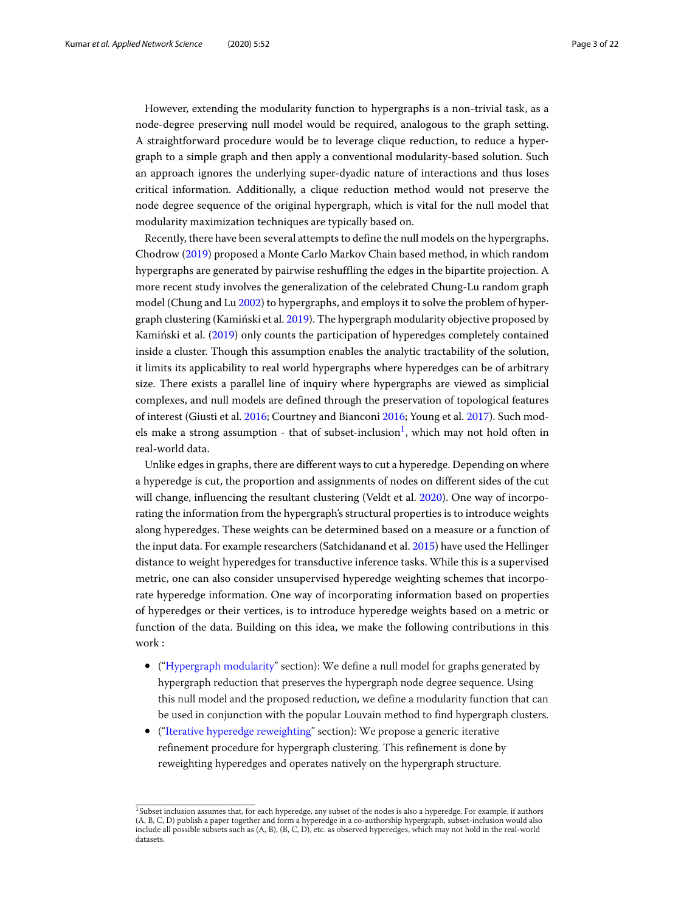However, extending the modularity function to hypergraphs is a non-trivial task, as a node-degree preserving null model would be required, analogous to the graph setting. A straightforward procedure would be to leverage clique reduction, to reduce a hypergraph to a simple graph and then apply a conventional modularity-based solution. Such an approach ignores the underlying super-dyadic nature of interactions and thus loses critical information. Additionally, a clique reduction method would not preserve the node degree sequence of the original hypergraph, which is vital for the null model that modularity maximization techniques are typically based on.

Recently, there have been several attempts to define the null models on the hypergraphs. Chodrow [\(2019\)](#page-20-22) proposed a Monte Carlo Markov Chain based method, in which random hypergraphs are generated by pairwise reshuffling the edges in the bipartite projection. A more recent study involves the generalization of the celebrated Chung-Lu random graph model (Chung and Lu [2002\)](#page-20-23) to hypergraphs, and employs it to solve the problem of hypergraph clustering (Kamiński et al.  $2019$ ). The hypergraph modularity objective proposed by Kaminski et al. ([2019\)](#page-20-9) only counts the participation of hyperedges completely contained inside a cluster. Though this assumption enables the analytic tractability of the solution, it limits its applicability to real world hypergraphs where hyperedges can be of arbitrary size. There exists a parallel line of inquiry where hypergraphs are viewed as simplicial complexes, and null models are defined through the preservation of topological features of interest (Giusti et al. [2016;](#page-20-24) Courtney and Bianconi [2016;](#page-20-25) Young et al. [2017\)](#page-21-9). Such mod-els make a strong assumption - that of subset-inclusion<sup>[1](#page-2-0)</sup>, which may not hold often in real-world data.

Unlike edges in graphs, there are different ways to cut a hyperedge. Depending on where a hyperedge is cut, the proportion and assignments of nodes on different sides of the cut will change, influencing the resultant clustering (Veldt et al. [2020\)](#page-21-10). One way of incorporating the information from the hypergraph's structural properties is to introduce weights along hyperedges. These weights can be determined based on a measure or a function of the input data. For example researchers (Satchidanand et al. [2015\)](#page-20-26) have used the Hellinger distance to weight hyperedges for transductive inference tasks. While this is a supervised metric, one can also consider unsupervised hyperedge weighting schemes that incorporate hyperedge information. One way of incorporating information based on properties of hyperedges or their vertices, is to introduce hyperedge weights based on a metric or function of the data. Building on this idea, we make the following contributions in this work :

- (["Hypergraph modularity"](#page-4-0) section): We define a null model for graphs generated by hypergraph reduction that preserves the hypergraph node degree sequence. Using this null model and the proposed reduction, we define a modularity function that can be used in conjunction with the popular Louvain method to find hypergraph clusters.
- (["Iterative hyperedge reweighting"](#page-7-0) section): We propose a generic iterative refinement procedure for hypergraph clustering. This refinement is done by reweighting hyperedges and operates natively on the hypergraph structure.

<span id="page-2-0"></span><sup>&</sup>lt;sup>1</sup>Subset inclusion assumes that, for each hyperedge, any subset of the nodes is also a hyperedge. For example, if authors (A, B, C, D) publish a paper together and form a hyperedge in a co-authorship hypergraph, subset-inclusion would also include all possible subsets such as (A, B), (B, C, D), etc. as observed hyperedges, which may not hold in the real-world datasets.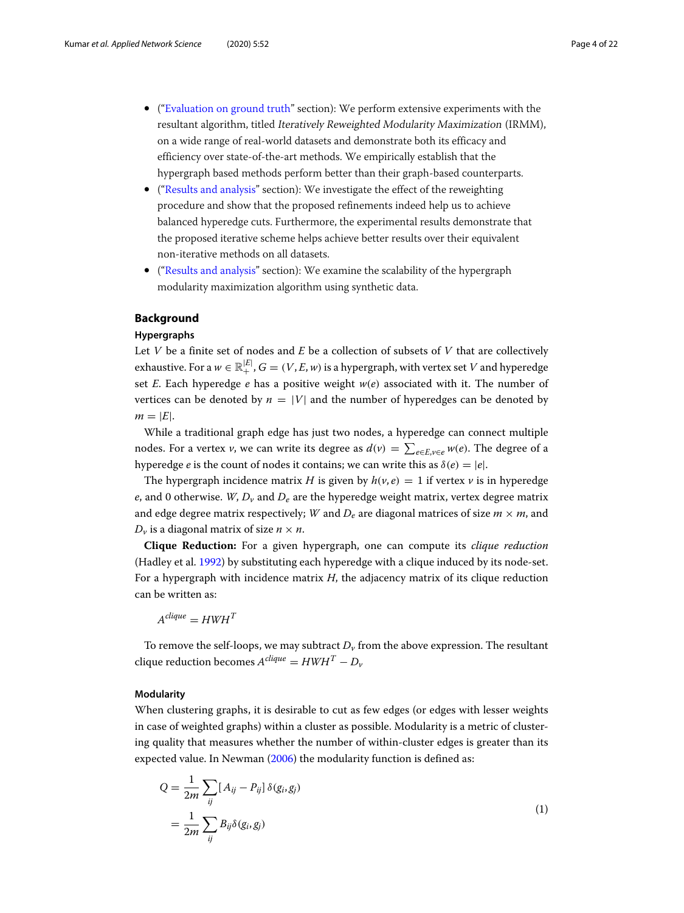- (["Evaluation on ground truth"](#page-11-0) section): We perform extensive experiments with the resultant algorithm, titled Iteratively Reweighted Modularity Maximization (IRMM), on a wide range of real-world datasets and demonstrate both its efficacy and efficiency over state-of-the-art methods. We empirically establish that the hypergraph based methods perform better than their graph-based counterparts.
- (["Results and analysis"](#page-14-0) section): We investigate the effect of the reweighting procedure and show that the proposed refinements indeed help us to achieve balanced hyperedge cuts. Furthermore, the experimental results demonstrate that the proposed iterative scheme helps achieve better results over their equivalent non-iterative methods on all datasets.
- (["Results and analysis"](#page-14-0) section): We examine the scalability of the hypergraph modularity maximization algorithm using synthetic data.

#### **Background**

#### **Hypergraphs**

Let *V* be a finite set of nodes and *E* be a collection of subsets of *V* that are collectively exhaustive. For a  $w \in \mathbb{R}^{|E|}_+$ ,  $G = (V, E, w)$  is a hypergraph, with vertex set  $V$  and hyperedge set *E*. Each hyperedge *e* has a positive weight *w*(*e*) associated with it. The number of vertices can be denoted by  $n = |V|$  and the number of hyperedges can be denoted by  $m = |E|$ .

While a traditional graph edge has just two nodes, a hyperedge can connect multiple nodes. For a vertex *v*, we can write its degree as  $d(v) = \sum_{e \in E, v \in e} w(e)$ . The degree of a hyperedge *e* is the count of nodes it contains; we can write this as  $\delta(e) = |e|$ .

The hypergraph incidence matrix *H* is given by  $h(v, e) = 1$  if vertex *v* is in hyperedge *e*, and 0 otherwise. *W*,  $D_v$  and  $D_e$  are the hyperedge weight matrix, vertex degree matrix and edge degree matrix respectively; *W* and  $D_e$  are diagonal matrices of size  $m \times m$ , and  $D_v$  is a diagonal matrix of size  $n \times n$ .

**Clique Reduction:** For a given hypergraph, one can compute its *clique reduction* (Hadley et al. [1992\)](#page-20-27) by substituting each hyperedge with a clique induced by its node-set. For a hypergraph with incidence matrix *H*, the adjacency matrix of its clique reduction can be written as:

 $A^{clique} = HWH^T$ 

To remove the self-loops, we may subtract  $D<sub>v</sub>$  from the above expression. The resultant  $clique$  reduction becomes  $A^{clique} = HWH^T - D_{\nu}$ 

### **Modularity**

When clustering graphs, it is desirable to cut as few edges (or edges with lesser weights in case of weighted graphs) within a cluster as possible. Modularity is a metric of clustering quality that measures whether the number of within-cluster edges is greater than its expected value. In Newman [\(2006\)](#page-20-19) the modularity function is defined as:

<span id="page-3-0"></span>
$$
Q = \frac{1}{2m} \sum_{ij} [A_{ij} - P_{ij}] \delta(g_i, g_j)
$$
  
= 
$$
\frac{1}{2m} \sum_{ij} B_{ij} \delta(g_i, g_j)
$$
 (1)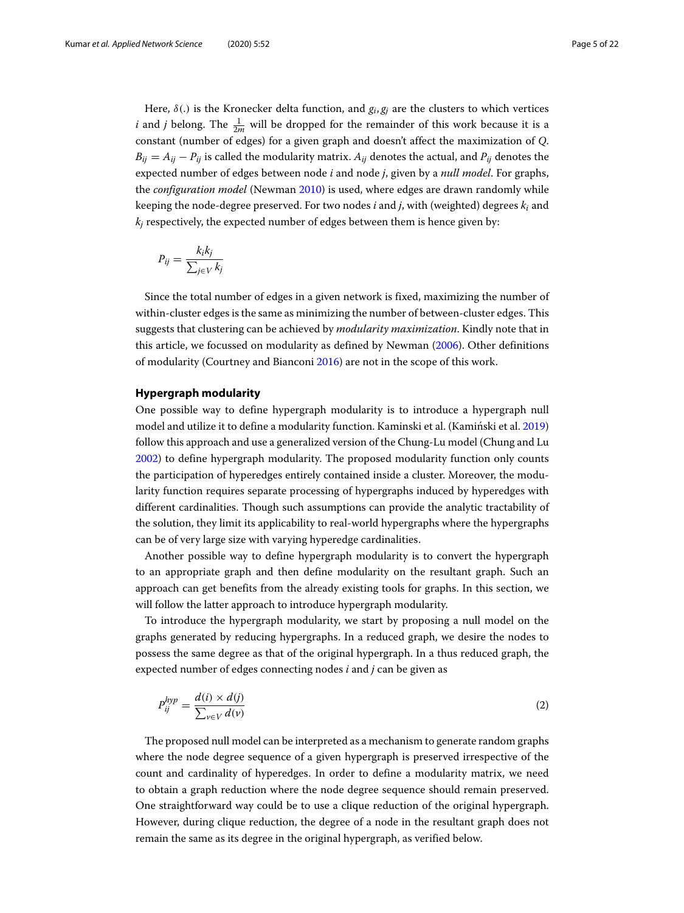Here,  $\delta(.)$  is the Kronecker delta function, and  $g_i$ ,  $g_j$  are the clusters to which vertices *i* and *j* belong. The  $\frac{1}{2m}$  will be dropped for the remainder of this work because it is a constant (number of edges) for a given graph and doesn't affect the maximization of *Q*.  $B_{ii} = A_{ii} - P_{ii}$  is called the modularity matrix.  $A_{ii}$  denotes the actual, and  $P_{ii}$  denotes the expected number of edges between node *i* and node *j*, given by a *null model*. For graphs, the *configuration model* (Newman [2010\)](#page-20-28) is used, where edges are drawn randomly while keeping the node-degree preserved. For two nodes *i* and *j*, with (weighted) degrees *k<sup>i</sup>* and  $k_i$  respectively, the expected number of edges between them is hence given by:

$$
P_{ij} = \frac{k_i k_j}{\sum_{j \in V} k_j}
$$

Since the total number of edges in a given network is fixed, maximizing the number of within-cluster edges is the same as minimizing the number of between-cluster edges. This suggests that clustering can be achieved by *modularity maximization*. Kindly note that in this article, we focussed on modularity as defined by Newman [\(2006\)](#page-20-19). Other definitions of modularity (Courtney and Bianconi [2016\)](#page-20-25) are not in the scope of this work.

#### <span id="page-4-0"></span>**Hypergraph modularity**

One possible way to define hypergraph modularity is to introduce a hypergraph null model and utilize it to define a modularity function. Kaminski et al. (Kamiński et al. [2019\)](#page-20-9) follow this approach and use a generalized version of the Chung-Lu model (Chung and Lu [2002\)](#page-20-23) to define hypergraph modularity. The proposed modularity function only counts the participation of hyperedges entirely contained inside a cluster. Moreover, the modularity function requires separate processing of hypergraphs induced by hyperedges with different cardinalities. Though such assumptions can provide the analytic tractability of the solution, they limit its applicability to real-world hypergraphs where the hypergraphs can be of very large size with varying hyperedge cardinalities.

Another possible way to define hypergraph modularity is to convert the hypergraph to an appropriate graph and then define modularity on the resultant graph. Such an approach can get benefits from the already existing tools for graphs. In this section, we will follow the latter approach to introduce hypergraph modularity.

To introduce the hypergraph modularity, we start by proposing a null model on the graphs generated by reducing hypergraphs. In a reduced graph, we desire the nodes to possess the same degree as that of the original hypergraph. In a thus reduced graph, the expected number of edges connecting nodes *i* and *j* can be given as

$$
P_{ij}^{hyp} = \frac{d(i) \times d(j)}{\sum_{v \in V} d(v)} \tag{2}
$$

The proposed null model can be interpreted as a mechanism to generate random graphs where the node degree sequence of a given hypergraph is preserved irrespective of the count and cardinality of hyperedges. In order to define a modularity matrix, we need to obtain a graph reduction where the node degree sequence should remain preserved. One straightforward way could be to use a clique reduction of the original hypergraph. However, during clique reduction, the degree of a node in the resultant graph does not remain the same as its degree in the original hypergraph, as verified below.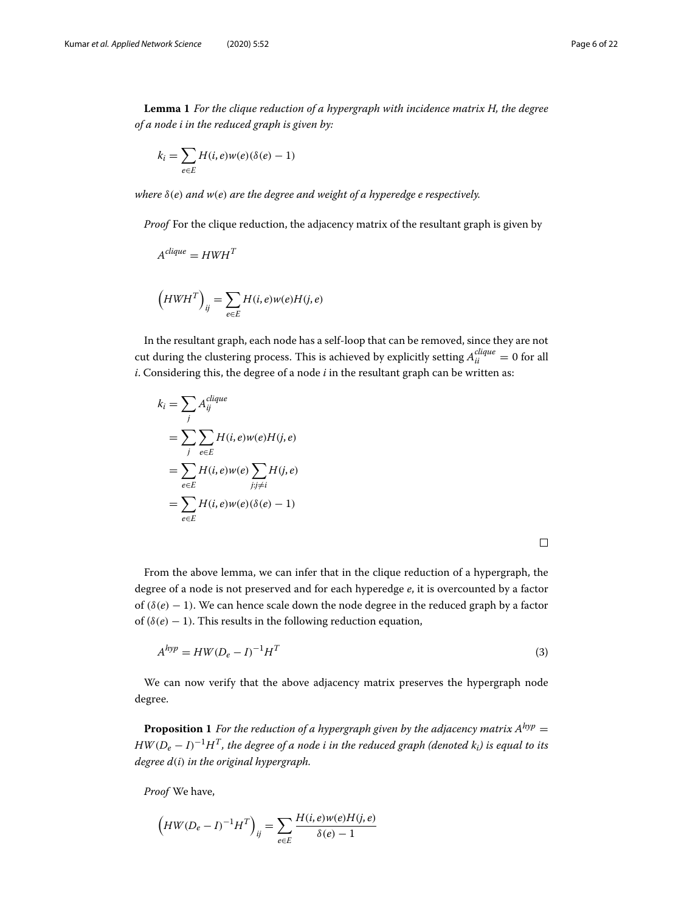**Lemma 1** *For the clique reduction of a hypergraph with incidence matrix H, the degree of a node i in the reduced graph is given by:*

$$
k_i = \sum_{e \in E} H(i, e)w(e)(\delta(e) - 1)
$$

*where* δ(*e*) *and w*(*e*) *are the degree and weight of a hyperedge e respectively.*

*Proof* For the clique reduction, the adjacency matrix of the resultant graph is given by

$$
A^{clique} = HWH^T
$$

$$
\left(HWH^{T}\right)_{ij} = \sum_{e \in E} H(i, e)w(e)H(j, e)
$$

In the resultant graph, each node has a self-loop that can be removed, since they are not cut during the clustering process. This is achieved by explicitly setting  $A_{ii}^{clique}=0$  for all *i*. Considering this, the degree of a node *i* in the resultant graph can be written as:

$$
k_i = \sum_j A_{ij}^{clique}
$$
  
= 
$$
\sum_j \sum_{e \in E} H(i, e) w(e) H(j, e)
$$
  
= 
$$
\sum_{e \in E} H(i, e) w(e) \sum_{j: j \neq i} H(j, e)
$$
  
= 
$$
\sum_{e \in E} H(i, e) w(e) (\delta(e) - 1)
$$

<span id="page-5-0"></span>

From the above lemma, we can infer that in the clique reduction of a hypergraph, the degree of a node is not preserved and for each hyperedge *e*, it is overcounted by a factor of  $(\delta(e) - 1)$ . We can hence scale down the node degree in the reduced graph by a factor of ( $\delta(e)$  – 1). This results in the following reduction equation,

$$
A^{hyp} = HW(D_e - I)^{-1}H^T
$$
\n(3)

We can now verify that the above adjacency matrix preserves the hypergraph node degree.

**Proposition 1** *For the reduction of a hypergraph given by the adjacency matrix*  $A^{hyp} =$ *HW*(*D<sup>e</sup>* − *I*) <sup>−</sup>1*HT, the degree of a node i in the reduced graph (denoted ki) is equal to its degree d*(*i*) *in the original hypergraph.*

*Proof* We have,

$$
\left(HW(D_e - I)^{-1}H^T\right)_{ij} = \sum_{e \in E} \frac{H(i, e)w(e)H(j, e)}{\delta(e) - 1}
$$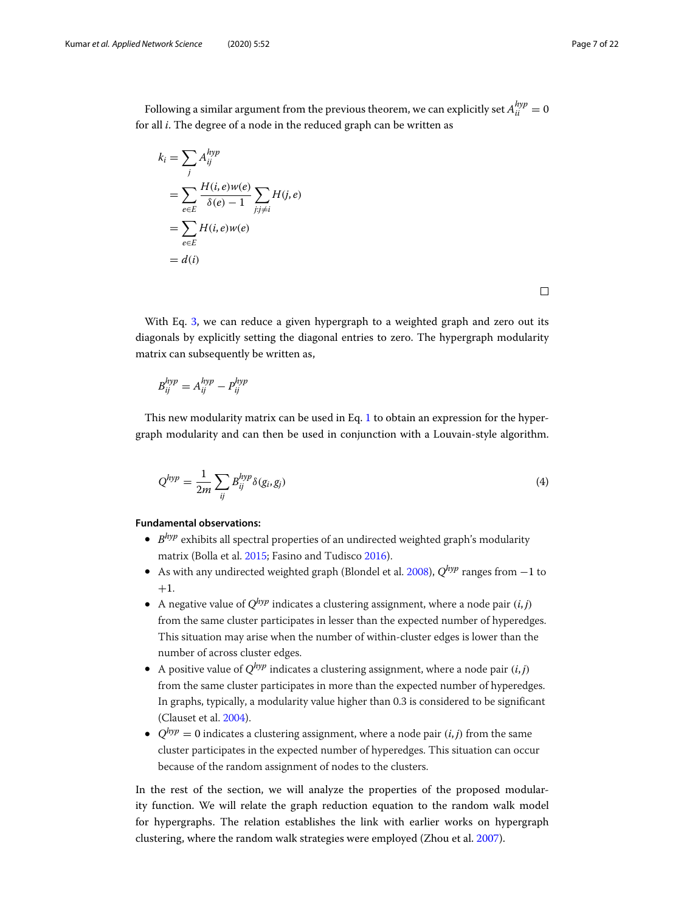Following a similar argument from the previous theorem, we can explicitly set  $A_{ii}^{hyp} = 0$ for all *i*. The degree of a node in the reduced graph can be written as

$$
k_i = \sum_j A_{ij}^{hyp}
$$
  
= 
$$
\sum_{e \in E} \frac{H(i, e)w(e)}{\delta(e) - 1} \sum_{j:j \neq i} H(j, e)
$$
  
= 
$$
\sum_{e \in E} H(i, e)w(e)
$$
  
= 
$$
d(i)
$$

 $\Box$ 

With Eq. [3,](#page-5-0) we can reduce a given hypergraph to a weighted graph and zero out its diagonals by explicitly setting the diagonal entries to zero. The hypergraph modularity matrix can subsequently be written as,

$$
B_{ij}^{hyp} = A_{ij}^{hyp} - P_{ij}^{hyp}
$$

<span id="page-6-0"></span>This new modularity matrix can be used in Eq. [1](#page-3-0) to obtain an expression for the hypergraph modularity and can then be used in conjunction with a Louvain-style algorithm.

$$
Q^{hyp} = \frac{1}{2m} \sum_{ij} B_{ij}^{hyp} \delta(g_i, g_j)
$$
\n(4)

**Fundamental observations:**

- *B hyp* exhibits all spectral properties of an undirected weighted graph's modularity matrix (Bolla et al. [2015;](#page-20-29) Fasino and Tudisco [2016\)](#page-20-30).
- As with any undirected weighted graph (Blondel et al. [2008\)](#page-20-20), *Qhyp* ranges from −1 to  $+1.$
- A negative value of  $Q^{hyp}$  indicates a clustering assignment, where a node pair  $(i, j)$ from the same cluster participates in lesser than the expected number of hyperedges. This situation may arise when the number of within-cluster edges is lower than the number of across cluster edges.
- A positive value of *Qhyp* indicates a clustering assignment, where a node pair (*i*, *j*) from the same cluster participates in more than the expected number of hyperedges. In graphs, typically, a modularity value higher than 0.3 is considered to be significant (Clauset et al. [2004\)](#page-20-31).
- $Q^{hyp} = 0$  indicates a clustering assignment, where a node pair  $(i, j)$  from the same cluster participates in the expected number of hyperedges. This situation can occur because of the random assignment of nodes to the clusters.

In the rest of the section, we will analyze the properties of the proposed modularity function. We will relate the graph reduction equation to the random walk model for hypergraphs. The relation establishes the link with earlier works on hypergraph clustering, where the random walk strategies were employed (Zhou et al. [2007\)](#page-21-7).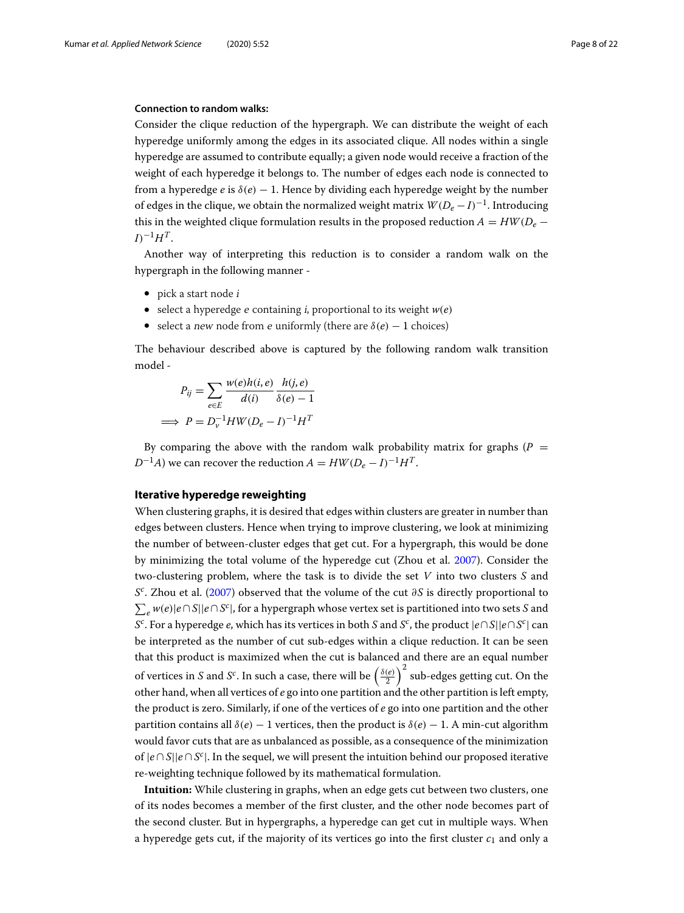#### **Connection to random walks:**

Consider the clique reduction of the hypergraph. We can distribute the weight of each hyperedge uniformly among the edges in its associated clique. All nodes within a single hyperedge are assumed to contribute equally; a given node would receive a fraction of the weight of each hyperedge it belongs to. The number of edges each node is connected to from a hyperedge *e* is  $\delta(e)$  − 1. Hence by dividing each hyperedge weight by the number of edges in the clique, we obtain the normalized weight matrix  $W(D_e-I)^{-1}.$  Introducing this in the weighted clique formulation results in the proposed reduction  $A = HW(D_e I)^{-1}H^T$ .

Another way of interpreting this reduction is to consider a random walk on the hypergraph in the following manner -

• pick a start node *i* 

=⇒ *P* = *D*

- select a hyperedge  $e$  containing  $i$ , proportional to its weight  $w(e)$
- select a new node from e uniformly (there are  $\delta(e) 1$  choices)

The behaviour described above is captured by the following random walk transition model -

$$
P_{ij} = \sum_{e \in E} \frac{w(e)h(i,e)}{d(i)} \frac{h(j,e)}{\delta(e) - 1}
$$
  
\n
$$
\Rightarrow P = D_v^{-1}HW(D_e - I)^{-1}H^T
$$

By comparing the above with the random walk probability matrix for graphs ( $P =$  $D^{-1}A$ ) we can recover the reduction  $A = HW(D_e - I)^{-1}H^T$ .

#### <span id="page-7-0"></span>**Iterative hyperedge reweighting**

When clustering graphs, it is desired that edges within clusters are greater in number than edges between clusters. Hence when trying to improve clustering, we look at minimizing the number of between-cluster edges that get cut. For a hypergraph, this would be done by minimizing the total volume of the hyperedge cut (Zhou et al. [2007\)](#page-21-7). Consider the two-clustering problem, where the task is to divide the set *V* into two clusters *S* and *S*<sup>c</sup>. Zhou et al. [\(2007\)](#page-21-7) observed that the volume of the cut ∂*S* is directly proportional to - *<sup>e</sup> w*(*e*)|*e*∩*S*||*e*∩*S c* |, for a hypergraph whose vertex set is partitioned into two sets *S* and *S c* . For a hyperedge *e*, which has its vertices in both *S* and *S c* , the product |*e*∩*S*||*e*∩*S c* | can be interpreted as the number of cut sub-edges within a clique reduction. It can be seen that this product is maximized when the cut is balanced and there are an equal number of vertices in *S* and *S<sup>c</sup>*. In such a case, there will be  $\left(\frac{\delta(e)}{2}\right)^2$  sub-edges getting cut. On the other hand, when all vertices of *e* go into one partition and the other partition is left empty, the product is zero. Similarly, if one of the vertices of *e* go into one partition and the other partition contains all  $\delta(e)$  − 1 vertices, then the product is  $\delta(e)$  − 1. A min-cut algorithm would favor cuts that are as unbalanced as possible, as a consequence of the minimization of |*e* ∩ *S*||*e* ∩ *S c* |. In the sequel, we will present the intuition behind our proposed iterative re-weighting technique followed by its mathematical formulation.

**Intuition:** While clustering in graphs, when an edge gets cut between two clusters, one of its nodes becomes a member of the first cluster, and the other node becomes part of the second cluster. But in hypergraphs, a hyperedge can get cut in multiple ways. When a hyperedge gets cut, if the majority of its vertices go into the first cluster  $c_1$  and only a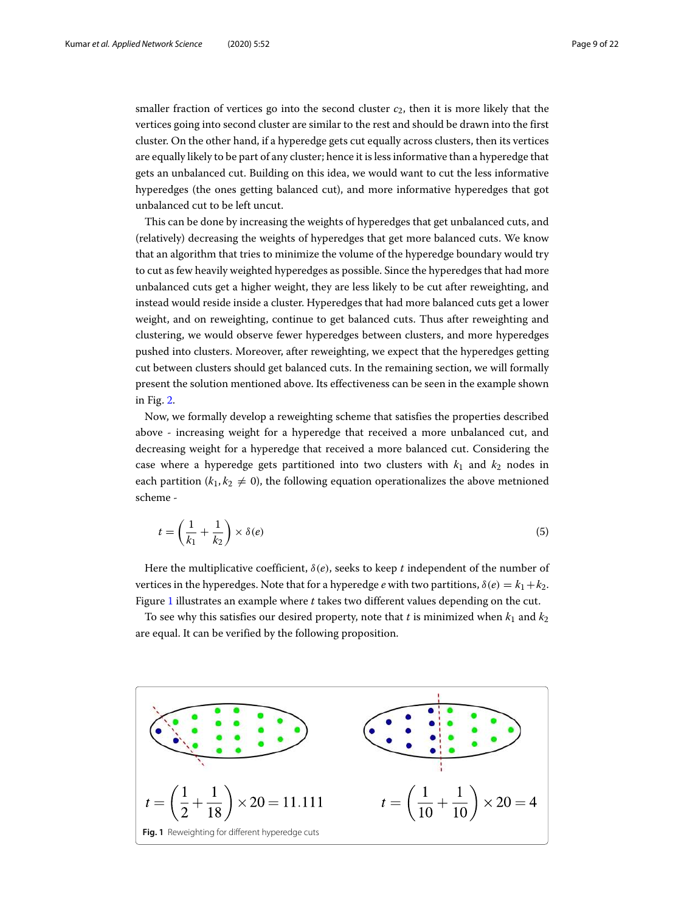smaller fraction of vertices go into the second cluster  $c_2$ , then it is more likely that the vertices going into second cluster are similar to the rest and should be drawn into the first cluster. On the other hand, if a hyperedge gets cut equally across clusters, then its vertices are equally likely to be part of any cluster; hence it is less informative than a hyperedge that gets an unbalanced cut. Building on this idea, we would want to cut the less informative hyperedges (the ones getting balanced cut), and more informative hyperedges that got unbalanced cut to be left uncut.

This can be done by increasing the weights of hyperedges that get unbalanced cuts, and (relatively) decreasing the weights of hyperedges that get more balanced cuts. We know that an algorithm that tries to minimize the volume of the hyperedge boundary would try to cut as few heavily weighted hyperedges as possible. Since the hyperedges that had more unbalanced cuts get a higher weight, they are less likely to be cut after reweighting, and instead would reside inside a cluster. Hyperedges that had more balanced cuts get a lower weight, and on reweighting, continue to get balanced cuts. Thus after reweighting and clustering, we would observe fewer hyperedges between clusters, and more hyperedges pushed into clusters. Moreover, after reweighting, we expect that the hyperedges getting cut between clusters should get balanced cuts. In the remaining section, we will formally present the solution mentioned above. Its effectiveness can be seen in the example shown in Fig. [2.](#page-11-1)

Now, we formally develop a reweighting scheme that satisfies the properties described above - increasing weight for a hyperedge that received a more unbalanced cut, and decreasing weight for a hyperedge that received a more balanced cut. Considering the case where a hyperedge gets partitioned into two clusters with  $k_1$  and  $k_2$  nodes in each partition ( $k_1, k_2 \neq 0$ ), the following equation operationalizes the above metnioned scheme -

<span id="page-8-1"></span>
$$
t = \left(\frac{1}{k_1} + \frac{1}{k_2}\right) \times \delta(e) \tag{5}
$$

Here the multiplicative coefficient, δ(*e*), seeks to keep *t* independent of the number of vertices in the hyperedges. Note that for a hyperedge *e* with two partitions,  $\delta(e) = k_1 + k_2$ . Figure [1](#page-8-0) illustrates an example where *t* takes two different values depending on the cut.

To see why this satisfies our desired property, note that *t* is minimized when  $k_1$  and  $k_2$ are equal. It can be verified by the following proposition.

<span id="page-8-0"></span>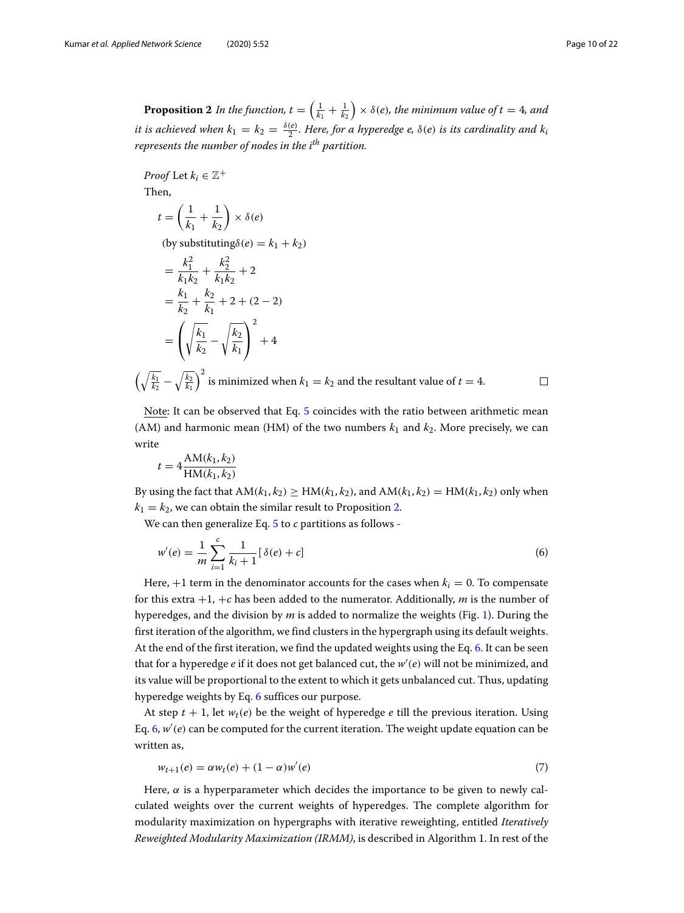<span id="page-9-0"></span>**Proposition 2** In the function,  $t = \left( \frac{1}{k_1} + \frac{1}{k_2} \right) \times \delta(e)$ , the minimum value of  $t = 4$ , and it is achieved when  $k_1 = k_2 = \frac{\delta(e)}{2}$ . Here, for a hyperedge e,  $\delta(e)$  is its cardinality and  $k_i$ *represents the number of nodes in the ith partition.*

*Proof* Let  $k_i \in \mathbb{Z}^+$ Then,

$$
t = \left(\frac{1}{k_1} + \frac{1}{k_2}\right) \times \delta(e)
$$

(by substituting $\delta(e) = k_1 + k_2$ )

$$
= \frac{k_1^2}{k_1 k_2} + \frac{k_2^2}{k_1 k_2} + 2
$$
  
=  $\frac{k_1}{k_2} + \frac{k_2}{k_1} + 2 + (2 - 2)$   
=  $\left(\sqrt{\frac{k_1}{k_2}} - \sqrt{\frac{k_2}{k_1}}\right)^2 + 4$ 

 $\left(\sqrt{\frac{k_1}{k_2}} - \sqrt{\frac{k_2}{k_1}}\right)^2$  is minimized when  $k_1 = k_2$  and the resultant value of  $t = 4$ .

<span id="page-9-1"></span> $\Box$ 

Note: It can be observed that Eq. [5](#page-8-1) coincides with the ratio between arithmetic mean (AM) and harmonic mean (HM) of the two numbers  $k_1$  and  $k_2$ . More precisely, we can write

$$
t = 4 \frac{\text{AM}(k_1, k_2)}{\text{HM}(k_1, k_2)}
$$

By using the fact that  $AM(k_1, k_2) \ge HM(k_1, k_2)$ , and  $AM(k_1, k_2) = HM(k_1, k_2)$  only when  $k_1 = k_2$ , we can obtain the similar result to Proposition [2.](#page-9-0)

We can then generalize Eq. [5](#page-8-1) to *c* partitions as follows -

$$
w'(e) = \frac{1}{m} \sum_{i=1}^{c} \frac{1}{k_i + 1} [\delta(e) + c]
$$
 (6)

Here,  $+1$  term in the denominator accounts for the cases when  $k_i = 0$ . To compensate for this extra +1, +*c* has been added to the numerator. Additionally, *m* is the number of hyperedges, and the division by *m* is added to normalize the weights (Fig. [1\)](#page-8-0). During the first iteration of the algorithm, we find clusters in the hypergraph using its default weights. At the end of the first iteration, we find the updated weights using the Eq. [6.](#page-9-1) It can be seen that for a hyperedge *e* if it does not get balanced cut, the *w* ′ (*e*) will not be minimized, and its value will be proportional to the extent to which it gets unbalanced cut. Thus, updating hyperedge weights by Eq. [6](#page-9-1) suffices our purpose.

At step  $t + 1$ , let  $w_t(e)$  be the weight of hyperedge *e* till the previous iteration. Using Eq. [6,](#page-9-1) *w* ′ (*e*) can be computed for the current iteration. The weight update equation can be written as,

$$
w_{t+1}(e) = \alpha w_t(e) + (1 - \alpha)w'(e)
$$
\n(7)

Here,  $\alpha$  is a hyperparameter which decides the importance to be given to newly calculated weights over the current weights of hyperedges. The complete algorithm for modularity maximization on hypergraphs with iterative reweighting, entitled *Iteratively Reweighted Modularity Maximization (IRMM)*, is described in Algorithm 1. In rest of the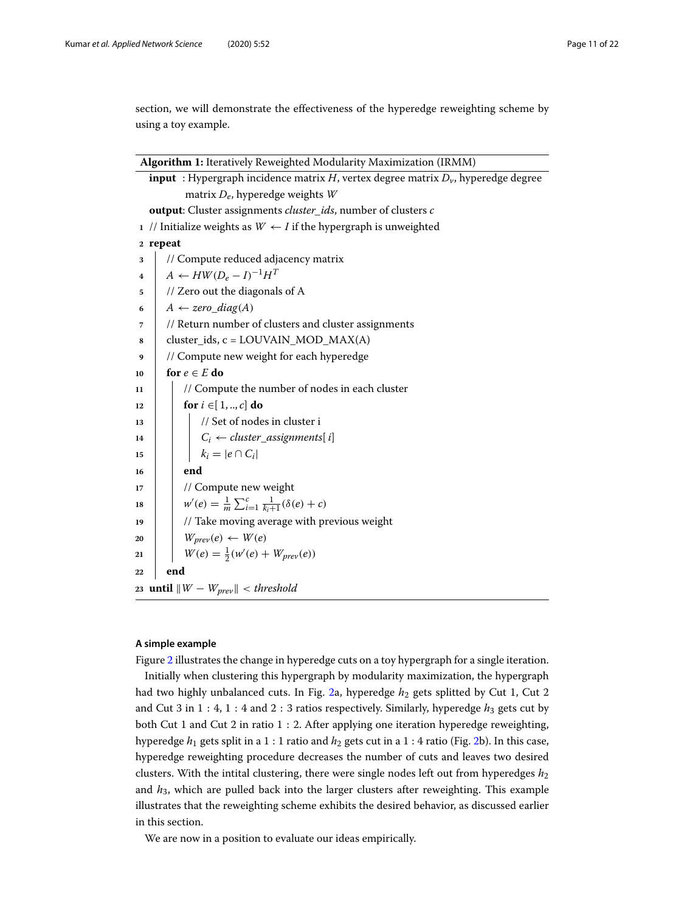section, we will demonstrate the effectiveness of the hyperedge reweighting scheme by using a toy example.

| Algorithm 1: Iteratively Reweighted Modularity Maximization (IRMM)                         |                                                                             |  |  |  |  |  |  |
|--------------------------------------------------------------------------------------------|-----------------------------------------------------------------------------|--|--|--|--|--|--|
| <b>input</b> : Hypergraph incidence matrix H, vertex degree matrix $Dv$ , hyperedge degree |                                                                             |  |  |  |  |  |  |
|                                                                                            | matrix $D_e$ , hyperedge weights W                                          |  |  |  |  |  |  |
|                                                                                            | output: Cluster assignments <i>cluster_ids</i> , number of clusters c       |  |  |  |  |  |  |
|                                                                                            | 1 // Initialize weights as $W \leftarrow I$ if the hypergraph is unweighted |  |  |  |  |  |  |
|                                                                                            | 2 repeat                                                                    |  |  |  |  |  |  |
| 3                                                                                          | // Compute reduced adjacency matrix                                         |  |  |  |  |  |  |
| 4                                                                                          | $A \leftarrow HW(D_e - I)^{-1}H^T$                                          |  |  |  |  |  |  |
| 5                                                                                          | // Zero out the diagonals of A                                              |  |  |  |  |  |  |
| 6                                                                                          | $A \leftarrow zero\_diag(A)$                                                |  |  |  |  |  |  |
| 7                                                                                          | // Return number of clusters and cluster assignments                        |  |  |  |  |  |  |
| 8                                                                                          | $cluster\_ids, c = LOUVAIN\_MOD\_MAX(A)$                                    |  |  |  |  |  |  |
| 9                                                                                          | // Compute new weight for each hyperedge                                    |  |  |  |  |  |  |
| 10                                                                                         | for $e \in E$ do                                                            |  |  |  |  |  |  |
| 11                                                                                         | // Compute the number of nodes in each cluster                              |  |  |  |  |  |  |
| 12                                                                                         | for $i \in [1, , c]$ do                                                     |  |  |  |  |  |  |
| 13                                                                                         | // Set of nodes in cluster i                                                |  |  |  |  |  |  |
| 14                                                                                         | $\begin{bmatrix} C_i \leftarrow cluster\_assigaments[i] \end{bmatrix}$      |  |  |  |  |  |  |
| 15                                                                                         | $k_i =  e \cap C_i $                                                        |  |  |  |  |  |  |
| 16                                                                                         | end                                                                         |  |  |  |  |  |  |
| 17                                                                                         | // Compute new weight                                                       |  |  |  |  |  |  |
| 18                                                                                         | $w'(e) = \frac{1}{m} \sum_{i=1}^{c} \frac{1}{k_i+1} (\delta(e) + c)$        |  |  |  |  |  |  |
| 19                                                                                         | // Take moving average with previous weight                                 |  |  |  |  |  |  |
| 20                                                                                         | $W_{prev}(e) \leftarrow W(e)$                                               |  |  |  |  |  |  |
| 21                                                                                         | $W(e) = \frac{1}{2}(w'(e) + W_{prev}(e))$                                   |  |  |  |  |  |  |
| 22                                                                                         | end                                                                         |  |  |  |  |  |  |
|                                                                                            | 23 <b>until</b> $\ W - W_{prev}\ $ < threshold                              |  |  |  |  |  |  |

## **A simple example**

Figure [2](#page-11-1) illustrates the change in hyperedge cuts on a toy hypergraph for a single iteration. Initially when clustering this hypergraph by modularity maximization, the hypergraph had two highly unbalanced cuts. In Fig. [2a](#page-11-1), hyperedge  $h_2$  gets splitted by Cut 1, Cut 2 and Cut 3 in 1 : 4, 1 : 4 and 2 : 3 ratios respectively. Similarly, hyperedge  $h_3$  gets cut by both Cut 1 and Cut 2 in ratio 1 : 2. After applying one iteration hyperedge reweighting, hyperedge  $h_1$  gets split in a 1 : 1 ratio and  $h_2$  gets cut in a 1 : 4 ratio (Fig. [2b](#page-11-1)). In this case, hyperedge reweighting procedure decreases the number of cuts and leaves two desired clusters. With the intital clustering, there were single nodes left out from hyperedges *h*<sup>2</sup> and *h*3, which are pulled back into the larger clusters after reweighting. This example illustrates that the reweighting scheme exhibits the desired behavior, as discussed earlier in this section.

We are now in a position to evaluate our ideas empirically.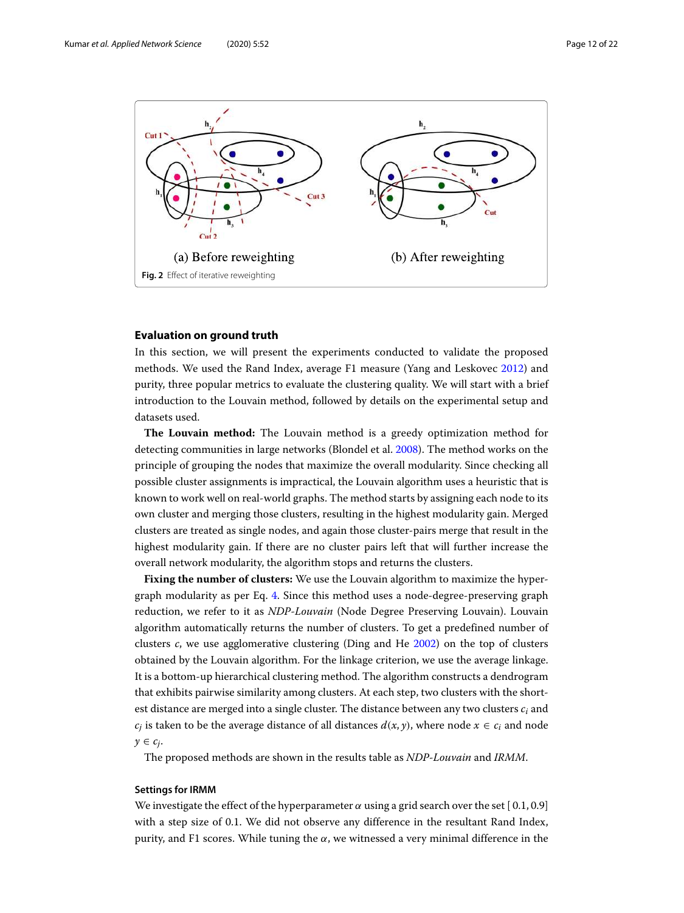

# <span id="page-11-1"></span><span id="page-11-0"></span>**Evaluation on ground truth**

In this section, we will present the experiments conducted to validate the proposed methods. We used the Rand Index, average F1 measure (Yang and Leskovec [2012\)](#page-21-11) and purity, three popular metrics to evaluate the clustering quality. We will start with a brief introduction to the Louvain method, followed by details on the experimental setup and datasets used.

**The Louvain method:** The Louvain method is a greedy optimization method for detecting communities in large networks (Blondel et al. [2008\)](#page-20-20). The method works on the principle of grouping the nodes that maximize the overall modularity. Since checking all possible cluster assignments is impractical, the Louvain algorithm uses a heuristic that is known to work well on real-world graphs. The method starts by assigning each node to its own cluster and merging those clusters, resulting in the highest modularity gain. Merged clusters are treated as single nodes, and again those cluster-pairs merge that result in the highest modularity gain. If there are no cluster pairs left that will further increase the overall network modularity, the algorithm stops and returns the clusters.

**Fixing the number of clusters:** We use the Louvain algorithm to maximize the hypergraph modularity as per Eq. [4.](#page-6-0) Since this method uses a node-degree-preserving graph reduction, we refer to it as *NDP-Louvain* (Node Degree Preserving Louvain). Louvain algorithm automatically returns the number of clusters. To get a predefined number of clusters *c*, we use agglomerative clustering (Ding and He [2002\)](#page-20-32) on the top of clusters obtained by the Louvain algorithm. For the linkage criterion, we use the average linkage. It is a bottom-up hierarchical clustering method. The algorithm constructs a dendrogram that exhibits pairwise similarity among clusters. At each step, two clusters with the shortest distance are merged into a single cluster. The distance between any two clusters *c<sup>i</sup>* and  $c_j$  is taken to be the average distance of all distances  $d(x, y)$ , where node  $x \in c_i$  and node  $y \in c_j$ .

The proposed methods are shown in the results table as *NDP-Louvain* and *IRMM*.

#### **Settings for IRMM**

We investigate the effect of the hyperparameter  $\alpha$  using a grid search over the set [0.1, 0.9] with a step size of 0.1. We did not observe any difference in the resultant Rand Index, purity, and F1 scores. While tuning the  $\alpha$ , we witnessed a very minimal difference in the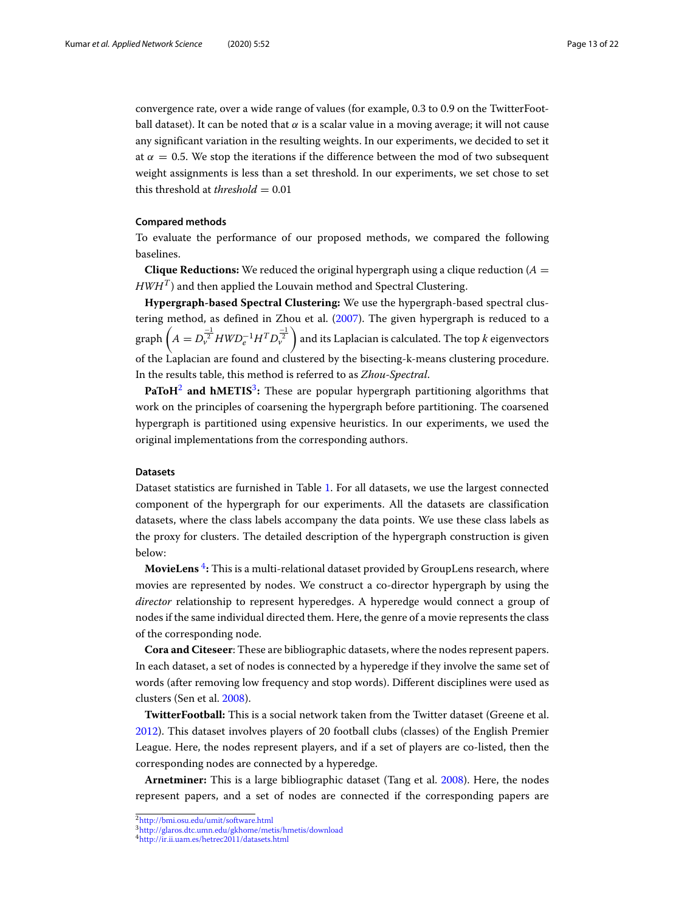convergence rate, over a wide range of values (for example, 0.3 to 0.9 on the TwitterFootball dataset). It can be noted that  $\alpha$  is a scalar value in a moving average; it will not cause any significant variation in the resulting weights. In our experiments, we decided to set it at  $\alpha = 0.5$ . We stop the iterations if the difference between the mod of two subsequent weight assignments is less than a set threshold. In our experiments, we set chose to set this threshold at *threshold*  $= 0.01$ 

#### **Compared methods**

To evaluate the performance of our proposed methods, we compared the following baselines.

**Clique Reductions:** We reduced the original hypergraph using a clique reduction ( $A =$  $HWH^{T}$ ) and then applied the Louvain method and Spectral Clustering.

**Hypergraph-based Spectral Clustering:** We use the hypergraph-based spectral clustering method, as defined in Zhou et al. [\(2007\)](#page-21-7). The given hypergraph is reduced to a graph  $\left(A=D_\nu^{\frac{-1}{2}}HWD_e^{-1}H^TD_\nu^{\frac{-1}{2}}\right)$  and its Laplacian is calculated. The top  $k$  eigenvectors of the Laplacian are found and clustered by the bisecting-k-means clustering procedure. In the results table, this method is referred to as *Zhou-Spectral*.

**PaToH**[2](#page-12-0) **and hMETIS**[3](#page-12-1) **:** These are popular hypergraph partitioning algorithms that work on the principles of coarsening the hypergraph before partitioning. The coarsened hypergraph is partitioned using expensive heuristics. In our experiments, we used the original implementations from the corresponding authors.

#### **Datasets**

Dataset statistics are furnished in Table [1.](#page-13-0) For all datasets, we use the largest connected component of the hypergraph for our experiments. All the datasets are classification datasets, where the class labels accompany the data points. We use these class labels as the proxy for clusters. The detailed description of the hypergraph construction is given below:

**MovieLens**  $^4$  $^4$ **:** This is a multi-relational dataset provided by GroupLens research, where movies are represented by nodes. We construct a co-director hypergraph by using the *director* relationship to represent hyperedges. A hyperedge would connect a group of nodes if the same individual directed them. Here, the genre of a movie represents the class of the corresponding node.

**Cora and Citeseer**: These are bibliographic datasets, where the nodes represent papers. In each dataset, a set of nodes is connected by a hyperedge if they involve the same set of words (after removing low frequency and stop words). Different disciplines were used as clusters (Sen et al. [2008\)](#page-21-12).

**TwitterFootball:** This is a social network taken from the Twitter dataset (Greene et al. [2012\)](#page-20-33). This dataset involves players of 20 football clubs (classes) of the English Premier League. Here, the nodes represent players, and if a set of players are co-listed, then the corresponding nodes are connected by a hyperedge.

**Arnetminer:** This is a large bibliographic dataset (Tang et al. [2008\)](#page-21-13). Here, the nodes represent papers, and a set of nodes are connected if the corresponding papers are

<sup>2</sup><http://bmi.osu.edu/umit/software.html>

<span id="page-12-0"></span><sup>3</sup><http://glaros.dtc.umn.edu/gkhome/metis/hmetis/download>

<span id="page-12-2"></span><span id="page-12-1"></span><sup>4</sup><http://ir.ii.uam.es/hetrec2011/datasets.html>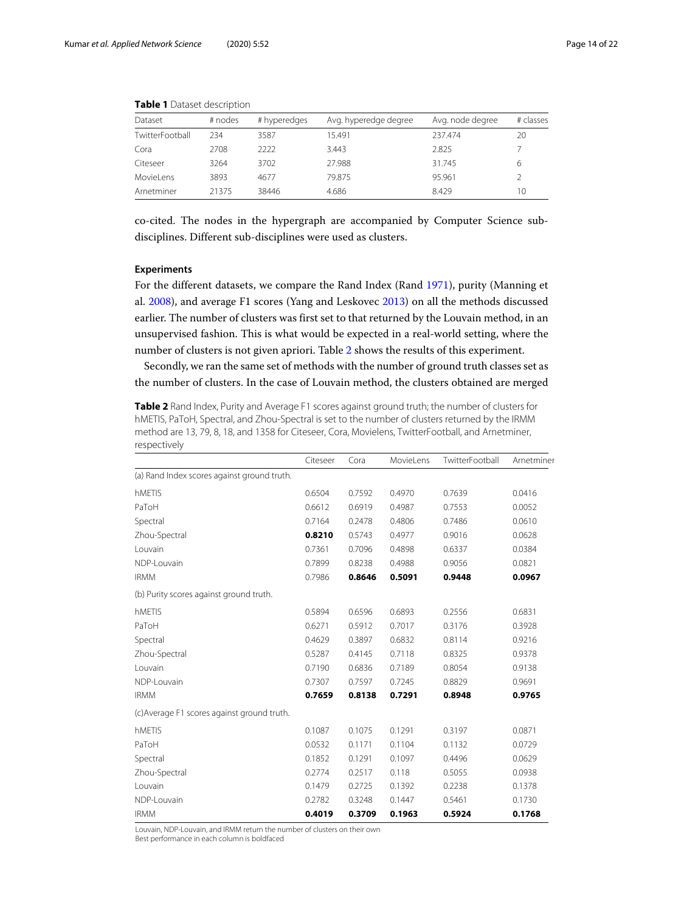<span id="page-13-0"></span>

| Dataset         | # nodes | # hyperedges | Avg. hyperedge degree | Avg. node degree | # classes |
|-----------------|---------|--------------|-----------------------|------------------|-----------|
| TwitterFootball | 234     | 3587         | 15.491                | 237.474          | 20        |
| Cora            | 2708    | 2222         | 3.443                 | 2.825            |           |
| Citeseer        | 3264    | 3702         | 27.988                | 31.745           | 6         |
| MovieLens       | 3893    | 4677         | 79.875                | 95.961           |           |
| Arnetminer      | 21375   | 38446        | 4.686                 | 8.429            | 10        |

**Table 1** Dataset description

co-cited. The nodes in the hypergraph are accompanied by Computer Science subdisciplines. Different sub-disciplines were used as clusters.

#### **Experiments**

For the different datasets, we compare the Rand Index (Rand [1971\)](#page-20-34), purity (Manning et al. [2008\)](#page-20-35), and average F1 scores (Yang and Leskovec [2013\)](#page-21-14) on all the methods discussed earlier. The number of clusters was first set to that returned by the Louvain method, in an unsupervised fashion. This is what would be expected in a real-world setting, where the number of clusters is not given apriori. Table [2](#page-13-1) shows the results of this experiment.

Secondly, we ran the same set of methods with the number of ground truth classes set as the number of clusters. In the case of Louvain method, the clusters obtained are merged

<span id="page-13-1"></span>**Table 2** Rand Index, Purity and Average F1 scores against ground truth; the number of clusters for hMETIS, PaToH, Spectral, and Zhou-Spectral is set to the number of clusters returned by the IRMM method are 13, 79, 8, 18, and 1358 for Citeseer, Cora, Movielens, TwitterFootball, and Arnetminer, respectively

|                                             | Citeseer | Cora   | MovieLens | TwitterFootball | Arnetminer |
|---------------------------------------------|----------|--------|-----------|-----------------|------------|
| (a) Rand Index scores against ground truth. |          |        |           |                 |            |
| hMETIS                                      | 0.6504   | 0.7592 | 0.4970    | 0.7639          | 0.0416     |
| PaToH                                       | 0.6612   | 0.6919 | 0.4987    | 0.7553          | 0.0052     |
| Spectral                                    | 0.7164   | 0.2478 | 0.4806    | 0.7486          | 0.0610     |
| Zhou-Spectral                               | 0.8210   | 0.5743 | 0.4977    | 0.9016          | 0.0628     |
| Louvain                                     | 0.7361   | 0.7096 | 0.4898    | 0.6337          | 0.0384     |
| NDP-Louvain                                 | 0.7899   | 0.8238 | 0.4988    | 0.9056          | 0.0821     |
| <b>IRMM</b>                                 | 0.7986   | 0.8646 | 0.5091    | 0.9448          | 0.0967     |
| (b) Purity scores against ground truth.     |          |        |           |                 |            |
| hMETIS                                      | 0.5894   | 0.6596 | 0.6893    | 0.2556          | 0.6831     |
| PaToH                                       | 0.6271   | 0.5912 | 0.7017    | 0.3176          | 0.3928     |
| Spectral                                    | 0.4629   | 0.3897 | 0.6832    | 0.8114          | 0.9216     |
| Zhou-Spectral                               | 0.5287   | 0.4145 | 0.7118    | 0.8325          | 0.9378     |
| Louvain                                     | 0.7190   | 0.6836 | 0.7189    | 0.8054          | 0.9138     |
| NDP-Louvain                                 | 0.7307   | 0.7597 | 0.7245    | 0.8829          | 0.9691     |
| <b>IRMM</b>                                 | 0.7659   | 0.8138 | 0.7291    | 0.8948          | 0.9765     |
| (c) Average F1 scores against ground truth. |          |        |           |                 |            |
| hMETIS                                      | 0.1087   | 0.1075 | 0.1291    | 0.3197          | 0.0871     |
| PaToH                                       | 0.0532   | 0.1171 | 0.1104    | 0.1132          | 0.0729     |
| Spectral                                    | 0.1852   | 0.1291 | 0.1097    | 0.4496          | 0.0629     |
| Zhou-Spectral                               | 0.2774   | 0.2517 | 0.118     | 0.5055          | 0.0938     |
| Louvain                                     | 0.1479   | 0.2725 | 0.1392    | 0.2238          | 0.1378     |
| NDP-Louvain                                 | 0.2782   | 0.3248 | 0.1447    | 0.5461          | 0.1730     |
| <b>IRMM</b>                                 | 0.4019   | 0.3709 | 0.1963    | 0.5924          | 0.1768     |

Louvain, NDP-Louvain, and IRMM return the number of clusters on their own Best performance in each column is boldfaced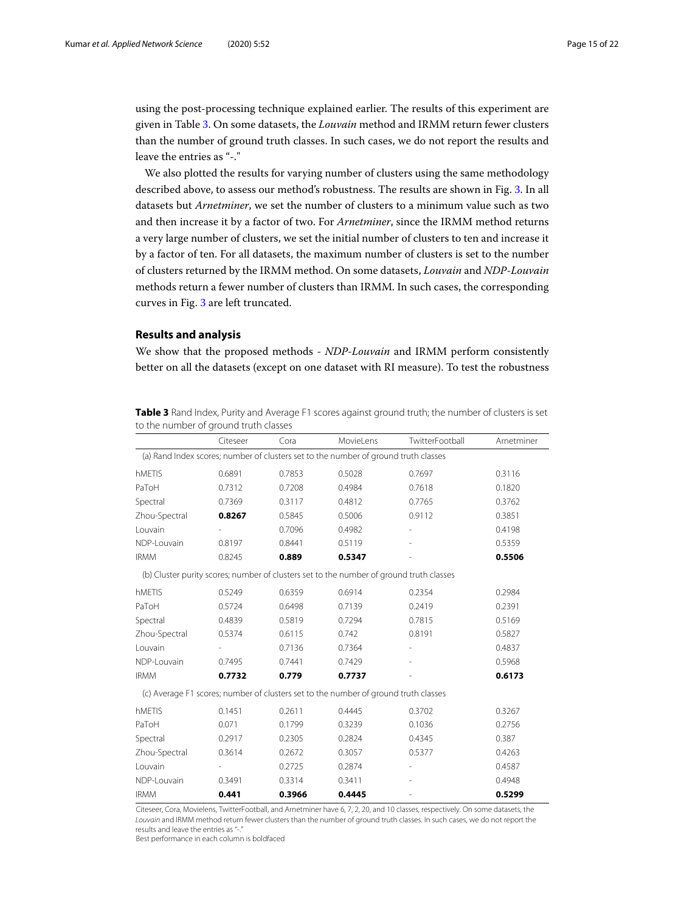using the post-processing technique explained earlier. The results of this experiment are given in Table [3.](#page-14-1) On some datasets, the *Louvain* method and IRMM return fewer clusters than the number of ground truth classes. In such cases, we do not report the results and leave the entries as "-."

We also plotted the results for varying number of clusters using the same methodology described above, to assess our method's robustness. The results are shown in Fig. [3.](#page-15-0) In all datasets but *Arnetminer*, we set the number of clusters to a minimum value such as two and then increase it by a factor of two. For *Arnetminer*, since the IRMM method returns a very large number of clusters, we set the initial number of clusters to ten and increase it by a factor of ten. For all datasets, the maximum number of clusters is set to the number of clusters returned by the IRMM method. On some datasets, *Louvain* and *NDP-Louvain* methods return a fewer number of clusters than IRMM. In such cases, the corresponding curves in Fig. [3](#page-15-0) are left truncated.

#### <span id="page-14-0"></span>**Results and analysis**

We show that the proposed methods - *NDP-Louvain* and IRMM perform consistently better on all the datasets (except on one dataset with RI measure). To test the robustness

| to the number of ground truth classes |          |        |                                                                                         |                 |            |  |  |
|---------------------------------------|----------|--------|-----------------------------------------------------------------------------------------|-----------------|------------|--|--|
|                                       | Citeseer | Cora   | MovieLens                                                                               | TwitterFootball | Arnetminer |  |  |
|                                       |          |        | (a) Rand Index scores; number of clusters set to the number of ground truth classes     |                 |            |  |  |
| hMETIS                                | 0.6891   | 0.7853 | 0.5028                                                                                  | 0.7697          | 0.3116     |  |  |
| PaToH                                 | 0.7312   | 0.7208 | 0.4984                                                                                  | 0.7618          | 0.1820     |  |  |
| Spectral                              | 0.7369   | 0.3117 | 0.4812                                                                                  | 0.7765          | 0.3762     |  |  |
| Zhou-Spectral                         | 0.8267   | 0.5845 | 0.5006                                                                                  | 0.9112          | 0.3851     |  |  |
| Louvain                               |          | 0.7096 | 0.4982                                                                                  |                 | 0.4198     |  |  |
| NDP-Louvain                           | 0.8197   | 0.8441 | 0.5119                                                                                  |                 | 0.5359     |  |  |
| <b>IRMM</b>                           | 0.8245   | 0.889  | 0.5347                                                                                  |                 | 0.5506     |  |  |
|                                       |          |        | (b) Cluster purity scores; number of clusters set to the number of ground truth classes |                 |            |  |  |
| hMETIS                                | 0.5249   | 0.6359 | 0.6914                                                                                  | 0.2354          | 0.2984     |  |  |
| PaToH                                 | 0.5724   | 0.6498 | 0.7139                                                                                  | 0.2419          | 0.2391     |  |  |
| Spectral                              | 0.4839   | 0.5819 | 0.7294                                                                                  | 0.7815          | 0.5169     |  |  |
| Zhou-Spectral                         | 0.5374   | 0.6115 | 0.742                                                                                   | 0.8191          | 0.5827     |  |  |
| Louvain                               |          | 0.7136 | 0.7364                                                                                  |                 | 0.4837     |  |  |
| NDP-Louvain                           | 0.7495   | 0.7441 | 0.7429                                                                                  |                 | 0.5968     |  |  |
| <b>IRMM</b>                           | 0.7732   | 0.779  | 0.7737                                                                                  |                 | 0.6173     |  |  |
|                                       |          |        | (c) Average F1 scores; number of clusters set to the number of ground truth classes     |                 |            |  |  |
| hMETIS                                | 0.1451   | 0.2611 | 0.4445                                                                                  | 0.3702          | 0.3267     |  |  |
| PaToH                                 | 0.071    | 0.1799 | 0.3239                                                                                  | 0.1036          | 0.2756     |  |  |
| Spectral                              | 0.2917   | 0.2305 | 0.2824                                                                                  | 0.4345          | 0.387      |  |  |
| Zhou-Spectral                         | 0.3614   | 0.2672 | 0.3057                                                                                  | 0.5377          | 0.4263     |  |  |
| Louvain                               |          | 0.2725 | 0.2874                                                                                  |                 | 0.4587     |  |  |
| NDP-Louvain                           | 0.3491   | 0.3314 | 0.3411                                                                                  |                 | 0.4948     |  |  |
| <b>IRMM</b>                           | 0.441    | 0.3966 | 0.4445                                                                                  |                 | 0.5299     |  |  |

<span id="page-14-1"></span>**Table 3** Rand Index, Purity and Average F1 scores against ground truth; the number of clusters is set to the number of ground truth classes

Citeseer, Cora, Movielens, TwitterFootball, and Arnetminer have 6, 7, 2, 20, and 10 classes, respectively. On some datasets, the Louvain and IRMM method return fewer clusters than the number of ground truth classes. In such cases, we do not report the results and leave the entries as "-

Best performance in each column is boldfaced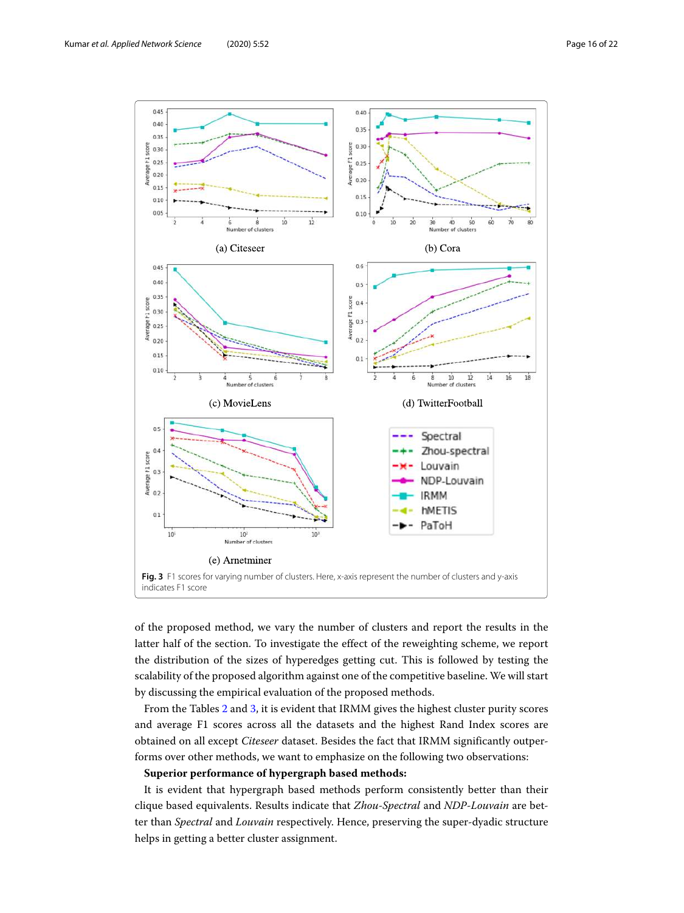

<span id="page-15-0"></span>of the proposed method, we vary the number of clusters and report the results in the latter half of the section. To investigate the effect of the reweighting scheme, we report the distribution of the sizes of hyperedges getting cut. This is followed by testing the scalability of the proposed algorithm against one of the competitive baseline. We will start by discussing the empirical evaluation of the proposed methods.

From the Tables [2](#page-13-1) and [3,](#page-14-1) it is evident that IRMM gives the highest cluster purity scores and average F1 scores across all the datasets and the highest Rand Index scores are obtained on all except *Citeseer* dataset. Besides the fact that IRMM significantly outperforms over other methods, we want to emphasize on the following two observations:

#### **Superior performance of hypergraph based methods:**

It is evident that hypergraph based methods perform consistently better than their clique based equivalents. Results indicate that *Zhou-Spectral* and *NDP-Louvain* are better than *Spectral* and *Louvain* respectively. Hence, preserving the super-dyadic structure helps in getting a better cluster assignment.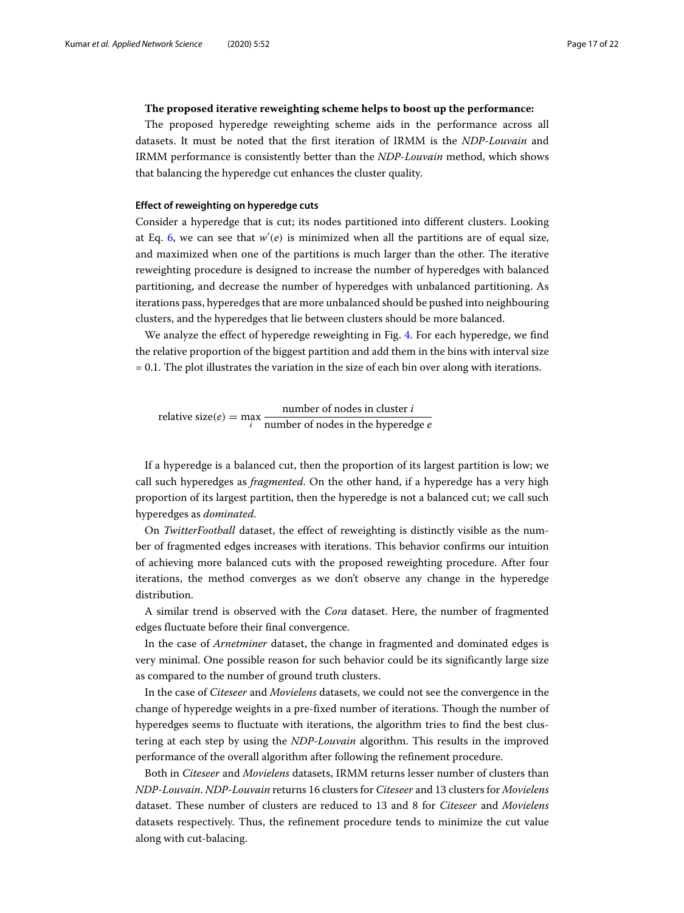#### **The proposed iterative reweighting scheme helps to boost up the performance:**

The proposed hyperedge reweighting scheme aids in the performance across all datasets. It must be noted that the first iteration of IRMM is the *NDP-Louvain* and IRMM performance is consistently better than the *NDP-Louvain* method, which shows that balancing the hyperedge cut enhances the cluster quality.

#### **Effect of reweighting on hyperedge cuts**

Consider a hyperedge that is cut; its nodes partitioned into different clusters. Looking at Eq. [6,](#page-9-1) we can see that  $w'(e)$  is minimized when all the partitions are of equal size, and maximized when one of the partitions is much larger than the other. The iterative reweighting procedure is designed to increase the number of hyperedges with balanced partitioning, and decrease the number of hyperedges with unbalanced partitioning. As iterations pass, hyperedges that are more unbalanced should be pushed into neighbouring clusters, and the hyperedges that lie between clusters should be more balanced.

We analyze the effect of hyperedge reweighting in Fig. [4.](#page-17-0) For each hyperedge, we find the relative proportion of the biggest partition and add them in the bins with interval size = 0.1. The plot illustrates the variation in the size of each bin over along with iterations.

relative size $(e) = \max_i$ number of nodes in cluster *i* number of nodes in the hyperedge *e*

If a hyperedge is a balanced cut, then the proportion of its largest partition is low; we call such hyperedges as *fragmented*. On the other hand, if a hyperedge has a very high proportion of its largest partition, then the hyperedge is not a balanced cut; we call such hyperedges as *dominated*.

On *TwitterFootball* dataset, the effect of reweighting is distinctly visible as the number of fragmented edges increases with iterations. This behavior confirms our intuition of achieving more balanced cuts with the proposed reweighting procedure. After four iterations, the method converges as we don't observe any change in the hyperedge distribution.

A similar trend is observed with the *Cora* dataset. Here, the number of fragmented edges fluctuate before their final convergence.

In the case of *Arnetminer* dataset, the change in fragmented and dominated edges is very minimal. One possible reason for such behavior could be its significantly large size as compared to the number of ground truth clusters.

In the case of *Citeseer* and *Movielens* datasets, we could not see the convergence in the change of hyperedge weights in a pre-fixed number of iterations. Though the number of hyperedges seems to fluctuate with iterations, the algorithm tries to find the best clustering at each step by using the *NDP-Louvain* algorithm. This results in the improved performance of the overall algorithm after following the refinement procedure.

Both in *Citeseer* and *Movielens* datasets, IRMM returns lesser number of clusters than *NDP-Louvain*. *NDP-Louvain* returns 16 clusters for *Citeseer* and 13 clusters for *Movielens* dataset. These number of clusters are reduced to 13 and 8 for *Citeseer* and *Movielens* datasets respectively. Thus, the refinement procedure tends to minimize the cut value along with cut-balacing.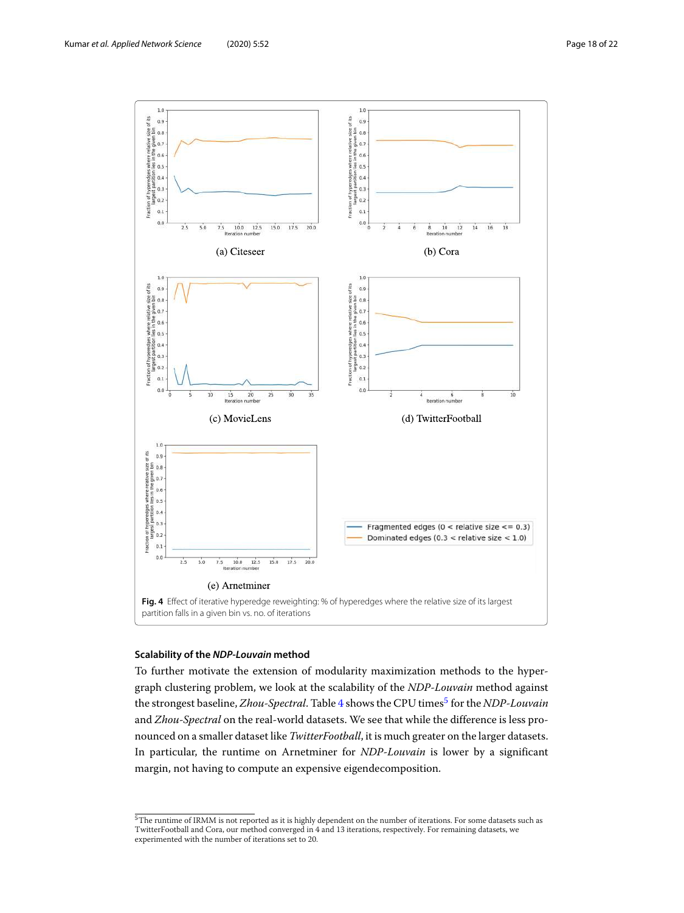

#### <span id="page-17-0"></span>**Scalability of the NDP-Louvain method**

To further motivate the extension of modularity maximization methods to the hypergraph clustering problem, we look at the scalability of the *NDP-Louvain* method against the strongest baseline, *Zhou-Spectral*. Table [4](#page-18-0) shows the CPU times<sup>[5](#page-17-1)</sup> for the *NDP-Louvain* and *Zhou-Spectral* on the real-world datasets. We see that while the difference is less pronounced on a smaller dataset like *TwitterFootball*, it is much greater on the larger datasets. In particular, the runtime on Arnetminer for *NDP-Louvain* is lower by a significant margin, not having to compute an expensive eigendecomposition.

<span id="page-17-1"></span> $5$ The runtime of IRMM is not reported as it is highly dependent on the number of iterations. For some datasets such as TwitterFootball and Cora, our method converged in 4 and 13 iterations, respectively. For remaining datasets, we experimented with the number of iterations set to 20.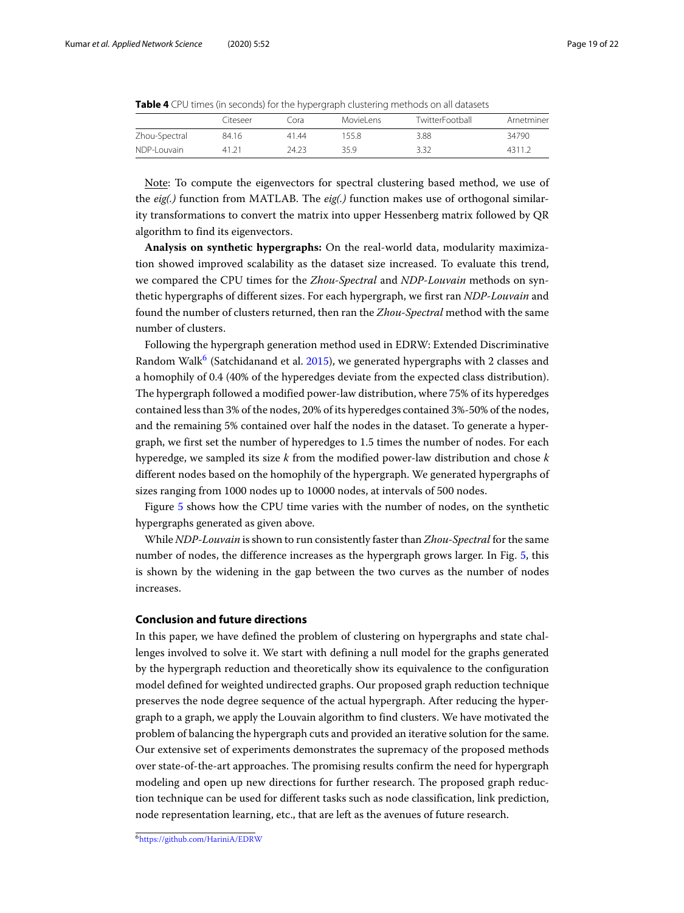<span id="page-18-0"></span>

|               | Citeseer | Cora  | MovieLens | TwitterFootball | Arnetminer |  |
|---------------|----------|-------|-----------|-----------------|------------|--|
| Zhou-Spectral | 84.16    | 4144  | 155.8     | 3.88            | 34790      |  |
| NDP-I ouvain  | 41 21    | 24.23 | 35.9      | 3.32            | 4311.2     |  |

Note: To compute the eigenvectors for spectral clustering based method, we use of the *eig(.)* function from MATLAB. The *eig(.)* function makes use of orthogonal similarity transformations to convert the matrix into upper Hessenberg matrix followed by QR algorithm to find its eigenvectors.

**Analysis on synthetic hypergraphs:** On the real-world data, modularity maximization showed improved scalability as the dataset size increased. To evaluate this trend, we compared the CPU times for the *Zhou-Spectral* and *NDP-Louvain* methods on synthetic hypergraphs of different sizes. For each hypergraph, we first ran *NDP-Louvain* and found the number of clusters returned, then ran the *Zhou-Spectral* method with the same number of clusters.

Following the hypergraph generation method used in EDRW: Extended Discriminative Random Walk<sup>[6](#page-18-1)</sup> (Satchidanand et al. [2015\)](#page-20-26), we generated hypergraphs with 2 classes and a homophily of 0.4 (40% of the hyperedges deviate from the expected class distribution). The hypergraph followed a modified power-law distribution, where 75% of its hyperedges contained less than 3% of the nodes, 20% of its hyperedges contained 3%-50% of the nodes, and the remaining 5% contained over half the nodes in the dataset. To generate a hypergraph, we first set the number of hyperedges to 1.5 times the number of nodes. For each hyperedge, we sampled its size *k* from the modified power-law distribution and chose *k* different nodes based on the homophily of the hypergraph. We generated hypergraphs of sizes ranging from 1000 nodes up to 10000 nodes, at intervals of 500 nodes.

Figure [5](#page-19-1) shows how the CPU time varies with the number of nodes, on the synthetic hypergraphs generated as given above.

While *NDP-Louvain* is shown to run consistently faster than *Zhou-Spectral* for the same number of nodes, the difference increases as the hypergraph grows larger. In Fig. [5,](#page-19-1) this is shown by the widening in the gap between the two curves as the number of nodes increases.

#### **Conclusion and future directions**

<span id="page-18-1"></span>In this paper, we have defined the problem of clustering on hypergraphs and state challenges involved to solve it. We start with defining a null model for the graphs generated by the hypergraph reduction and theoretically show its equivalence to the configuration model defined for weighted undirected graphs. Our proposed graph reduction technique preserves the node degree sequence of the actual hypergraph. After reducing the hypergraph to a graph, we apply the Louvain algorithm to find clusters. We have motivated the problem of balancing the hypergraph cuts and provided an iterative solution for the same. Our extensive set of experiments demonstrates the supremacy of the proposed methods over state-of-the-art approaches. The promising results confirm the need for hypergraph modeling and open up new directions for further research. The proposed graph reduction technique can be used for different tasks such as node classification, link prediction, node representation learning, etc., that are left as the avenues of future research.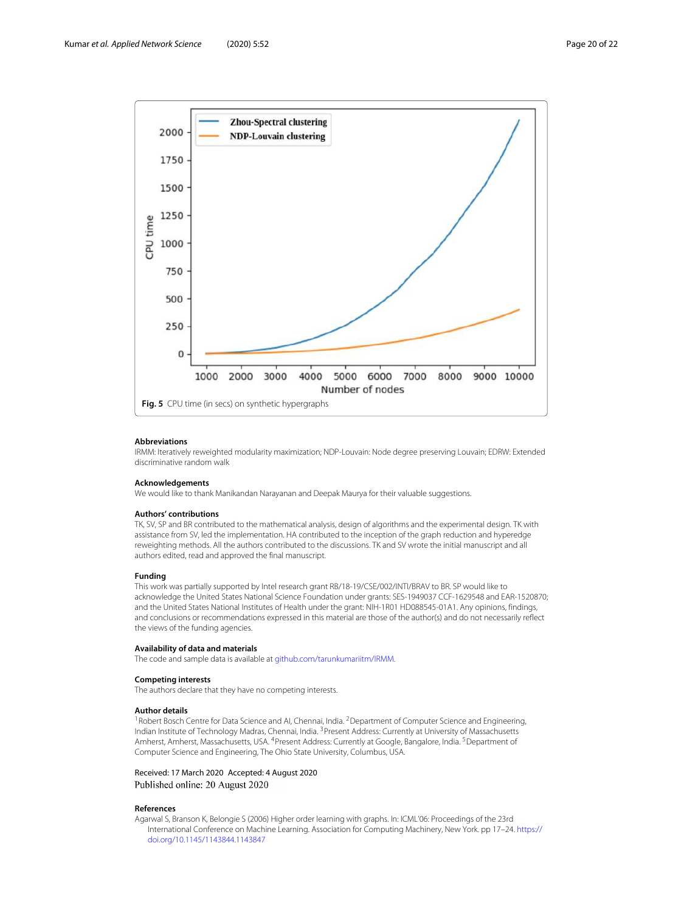

#### <span id="page-19-1"></span>**Abbreviations**

IRMM: Iteratively reweighted modularity maximization; NDP-Louvain: Node degree preserving Louvain; EDRW: Extended discriminative random walk

#### **Acknowledgements**

We would like to thank Manikandan Narayanan and Deepak Maurya for their valuable suggestions.

#### **Authors' contributions**

TK, SV, SP and BR contributed to the mathematical analysis, design of algorithms and the experimental design. TK with assistance from SV, led the implementation. HA contributed to the inception of the graph reduction and hyperedge reweighting methods. All the authors contributed to the discussions. TK and SV wrote the initial manuscript and all authors edited, read and approved the final manuscript.

#### **Funding**

This work was partially supported by Intel research grant RB/18-19/CSE/002/INTI/BRAV to BR. SP would like to acknowledge the United States National Science Foundation under grants: SES-1949037 CCF-1629548 and EAR-1520870; and the United States National Institutes of Health under the grant: NIH-1R01 HD088545-01A1. Any opinions, findings, and conclusions or recommendations expressed in this material are those of the author(s) and do not necessarily reflect the views of the funding agencies.

#### **Availability of data and materials**

The code and sample data is available at [github.com/tarunkumariitm/IRMM.](https://github.com/tarunkumariitm/IRMM)

#### **Competing interests**

The authors declare that they have no competing interests.

#### **Author details**

<sup>1</sup> Robert Bosch Centre for Data Science and AI, Chennai, India. <sup>2</sup> Department of Computer Science and Engineering, Indian Institute of Technology Madras, Chennai, India. <sup>3</sup>Present Address: Currently at University of Massachusetts Amherst, Amherst, Massachusetts, USA. <sup>4</sup>Present Address: Currently at Google, Bangalore, India. <sup>5</sup>Department of Computer Science and Engineering, The Ohio State University, Columbus, USA.

#### Received: 17 March 2020 Accepted: 4 August 2020 Published online: 20 August 2020

#### **References**

<span id="page-19-0"></span>Agarwal S, Branson K, Belongie S (2006) Higher order learning with graphs. In: ICML'06: Proceedings of the 23rd International Conference on Machine Learning. Association for Computing Machinery, New York. pp 17–24. [https://](https://doi.org/10.1145/1143844.1143847) [doi.org/10.1145/1143844.1143847](https://doi.org/10.1145/1143844.1143847)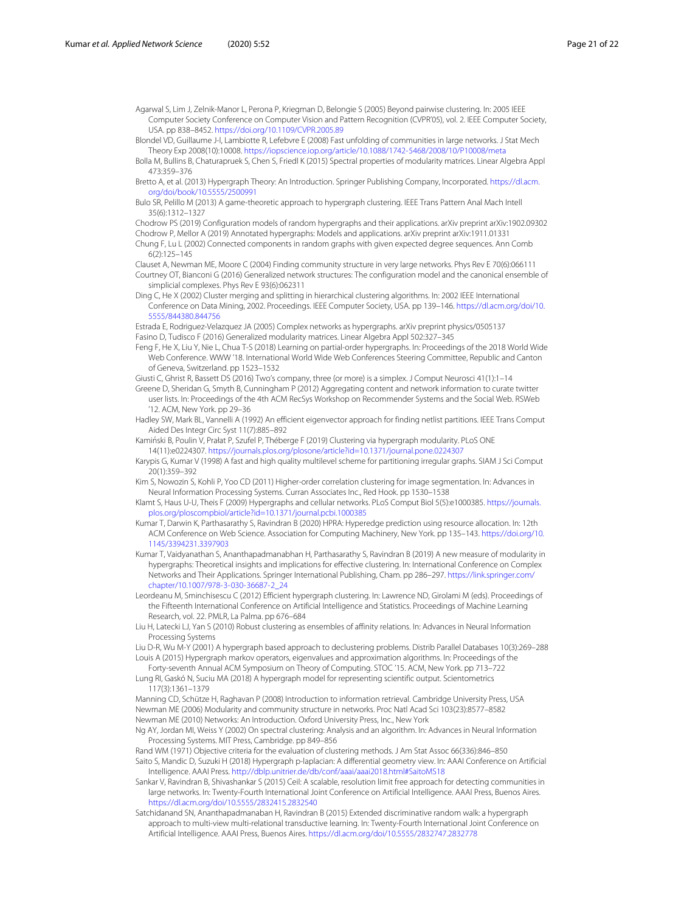<span id="page-20-15"></span>Agarwal S, Lim J, Zelnik-Manor L, Perona P, Kriegman D, Belongie S (2005) Beyond pairwise clustering. In: 2005 IEEE Computer Society Conference on Computer Vision and Pattern Recognition (CVPR'05), vol. 2. IEEE Computer Society, USA. pp 838–8452. <https://doi.org/10.1109/CVPR.2005.89>

<span id="page-20-20"></span>Blondel VD, Guillaume J-l, Lambiotte R, Lefebvre E (2008) Fast unfolding of communities in large networks. J Stat Mech Theory Exp 2008(10):10008. <https://iopscience.iop.org/article/10.1088/1742-5468/2008/10/P10008/meta>

<span id="page-20-29"></span>Bolla M, Bullins B, Chaturapruek S, Chen S, Friedl K (2015) Spectral properties of modularity matrices. Linear Algebra Appl 473:359–376

<span id="page-20-1"></span>Bretto A, et al. (2013) Hypergraph Theory: An Introduction. Springer Publishing Company, Incorporated. [https://dl.acm.](https://dl.acm.org/doi/book/10.5555/2500991) [org/doi/book/10.5555/2500991](https://dl.acm.org/doi/book/10.5555/2500991)

<span id="page-20-14"></span>Bulo SR, Pelillo M (2013) A game-theoretic approach to hypergraph clustering. IEEE Trans Pattern Anal Mach Intell 35(6):1312–1327

<span id="page-20-22"></span><span id="page-20-7"></span>Chodrow PS (2019) Configuration models of random hypergraphs and their applications. arXiv preprint arXiv:1902.09302 Chodrow P, Mellor A (2019) Annotated hypergraphs: Models and applications. arXiv preprint arXiv:1911.01331 Chung F, Lu L (2002) Connected components in random graphs with given expected degree sequences. Ann Comb

<span id="page-20-23"></span>6(2):125–145

<span id="page-20-31"></span><span id="page-20-25"></span>Clauset A, Newman ME, Moore C (2004) Finding community structure in very large networks. Phys Rev E 70(6):066111 Courtney OT, Bianconi G (2016) Generalized network structures: The configuration model and the canonical ensemble of simplicial complexes. Phys Rev E 93(6):062311

<span id="page-20-32"></span>Ding C, He X (2002) Cluster merging and splitting in hierarchical clustering algorithms. In: 2002 IEEE International Conference on Data Mining, 2002. Proceedings. IEEE Computer Society, USA. pp 139–146. [https://dl.acm.org/doi/10.](https://dl.acm.org/doi/10.5555/844380.844756) [5555/844380.844756](https://dl.acm.org/doi/10.5555/844380.844756)

<span id="page-20-12"></span>Estrada E, Rodriguez-Velazquez JA (2005) Complex networks as hypergraphs. arXiv preprint physics/0505137 Fasino D, Tudisco F (2016) Generalized modularity matrices. Linear Algebra Appl 502:327–345

<span id="page-20-30"></span><span id="page-20-6"></span>Feng F, He X, Liu Y, Nie L, Chua T-S (2018) Learning on partial-order hypergraphs. In: Proceedings of the 2018 World Wide Web Conference. WWW '18. International World Wide Web Conferences Steering Committee, Republic and Canton of Geneva, Switzerland. pp 1523–1532

<span id="page-20-24"></span>Giusti C, Ghrist R, Bassett DS (2016) Two's company, three (or more) is a simplex. J Comput Neurosci 41(1):1–14

<span id="page-20-33"></span>Greene D, Sheridan G, Smyth B, Cunningham P (2012) Aggregating content and network information to curate twitter user lists. In: Proceedings of the 4th ACM RecSys Workshop on Recommender Systems and the Social Web. RSWeb '12. ACM, New York. pp 29–36

<span id="page-20-27"></span>Hadley SW, Mark BL, Vannelli A (1992) An efficient eigenvector approach for finding netlist partitions. IEEE Trans Comput Aided Des Integr Circ Syst 11(7):885–892

<span id="page-20-9"></span>Kaminski B, Poulin V, Prałat P, Szufel P, Théberge F (2019) Clustering via hypergraph modularity. PLoS ONE ´ 14(11):e0224307. <https://journals.plos.org/plosone/article?id=10.1371/journal.pone.0224307>

<span id="page-20-8"></span>Karypis G, Kumar V (1998) A fast and high quality multilevel scheme for partitioning irregular graphs. SIAM J Sci Comput 20(1):359–392

<span id="page-20-10"></span>Kim S, Nowozin S, Kohli P, Yoo CD (2011) Higher-order correlation clustering for image segmentation. In: Advances in Neural Information Processing Systems. Curran Associates Inc., Red Hook. pp 1530–1538

<span id="page-20-2"></span>Klamt S, Haus U-U, Theis F (2009) Hypergraphs and cellular networks. PLoS Comput Biol 5(5):e1000385. [https://journals.](https://journals.plos.org/ploscompbiol/article?id=10.1371/journal.pcbi.1000385) [plos.org/ploscompbiol/article?id=10.1371/journal.pcbi.1000385](https://journals.plos.org/ploscompbiol/article?id=10.1371/journal.pcbi.1000385)

<span id="page-20-4"></span>Kumar T, Darwin K, Parthasarathy S, Ravindran B (2020) HPRA: Hyperedge prediction using resource allocation. In: 12th ACM Conference on Web Science. Association for Computing Machinery, New York. pp 135–143. [https://doi.org/10.](https://doi.org/10.1145/3394231.3397903) [1145/3394231.3397903](https://doi.org/10.1145/3394231.3397903)

<span id="page-20-21"></span>Kumar T, Vaidyanathan S, Ananthapadmanabhan H, Parthasarathy S, Ravindran B (2019) A new measure of modularity in hypergraphs: Theoretical insights and implications for effective clustering. In: International Conference on Complex Networks and Their Applications. Springer International Publishing, Cham. pp 286–297. [https://link.springer.com/](https://link.springer.com/chapter/10.1007/978-3-030-36687-2_24) [chapter/10.1007/978-3-030-36687-2\\_24](https://link.springer.com/chapter/10.1007/978-3-030-36687-2_24)

<span id="page-20-13"></span>Leordeanu M, Sminchisescu C (2012) Efficient hypergraph clustering. In: Lawrence ND, Girolami M (eds). Proceedings of the Fifteenth International Conference on Artificial Intelligence and Statistics. Proceedings of Machine Learning Research, vol. 22. PMLR, La Palma. pp 676–684

<span id="page-20-16"></span>Liu H, Latecki LJ, Yan S (2010) Robust clustering as ensembles of affinity relations. In: Advances in Neural Information Processing Systems

<span id="page-20-11"></span>Liu D-R, Wu M-Y (2001) A hypergraph based approach to declustering problems. Distrib Parallel Databases 10(3):269–288 Louis A (2015) Hypergraph markov operators, eigenvalues and approximation algorithms. In: Proceedings of the

<span id="page-20-18"></span><span id="page-20-3"></span>Forty-seventh Annual ACM Symposium on Theory of Computing. STOC '15. ACM, New York. pp 713–722 Lung RI, Gaskó N, Suciu MA (2018) A hypergraph model for representing scientific output. Scientometrics 117(3):1361–1379

<span id="page-20-35"></span><span id="page-20-19"></span>Manning CD, Schütze H, Raghavan P (2008) Introduction to information retrieval. Cambridge University Press, USA Newman ME (2006) Modularity and community structure in networks. Proc Natl Acad Sci 103(23):8577–8582 Newman ME (2010) Networks: An Introduction. Oxford University Press, Inc., New York

<span id="page-20-28"></span><span id="page-20-17"></span>Ng AY, Jordan MI, Weiss Y (2002) On spectral clustering: Analysis and an algorithm. In: Advances in Neural Information Processing Systems. MIT Press, Cambridge. pp 849–856

<span id="page-20-34"></span><span id="page-20-5"></span>Rand WM (1971) Objective criteria for the evaluation of clustering methods. J Am Stat Assoc 66(336):846–850 Saito S, Mandic D, Suzuki H (2018) Hypergraph p-laplacian: A differential geometry view. In: AAAI Conference on Artificial Intelligence. AAAI Press. <http://dblp.unitrier.de/db/conf/aaai/aaai2018.html#SaitoMS18>

<span id="page-20-0"></span>Sankar V, Ravindran B, Shivashankar S (2015) Ceil: A scalable, resolution limit free approach for detecting communities in large networks. In: Twenty-Fourth International Joint Conference on Artificial Intelligence. AAAI Press, Buenos Aires. <https://dl.acm.org/doi/10.5555/2832415.2832540>

<span id="page-20-26"></span>Satchidanand SN, Ananthapadmanaban H, Ravindran B (2015) Extended discriminative random walk: a hypergraph approach to multi-view multi-relational transductive learning. In: Twenty-Fourth International Joint Conference on Artificial Intelligence. AAAI Press, Buenos Aires. <https://dl.acm.org/doi/10.5555/2832747.2832778>